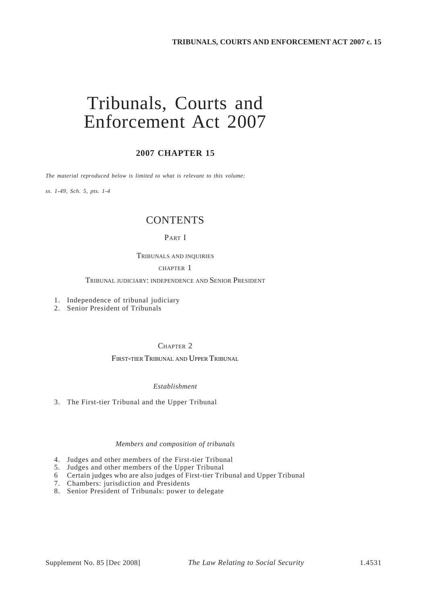# Tribunals, Courts and Enforcement Act 2007

### **2007 CHAPTER 15**

*The material reproduced below is limited to what is relevant to this volume:* 

*ss. 1-49, Sch. 5, pts. 1-4* 

## **CONTENTS**

#### PART I

#### TRIBUNALS AND INQUIRIES

#### CHAPTER 1

### TRIBUNAL JUDICIARY: INDEPENDENCE AND SENIOR PRESIDENT

- 1. Independence of tribunal judiciary
- 2. Senior President of Tribunals

#### CHAPTER 2

#### FIRST-TIER TRIBUNAL AND UPPER TRIBUNAL

#### *Establishment*

3. The First-tier Tribunal and the Upper Tribunal

#### *Members and composition of tribunals*

- 4. Judges and other members of the First-tier Tribunal
- 5. Judges and other members of the Upper Tribunal
- Certain judges who are also judges of First-tier Tribunal and Upper Tribunal 6
- 7. Chambers: jurisdiction and Presidents
- 8. Senior President of Tribunals: power to delegate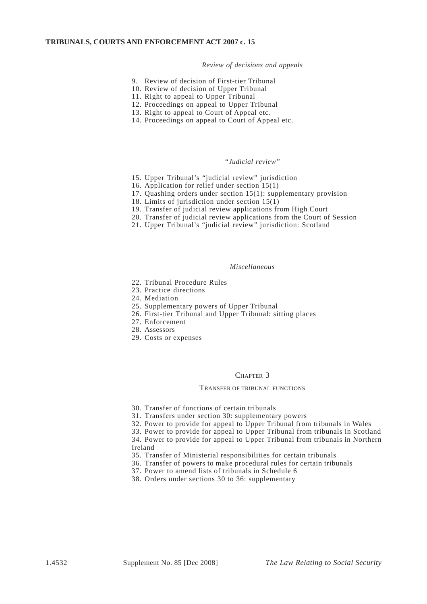#### *Review of decisions and appeals*

- 9. Review of decision of First-tier Tribunal
- 10. Review of decision of Upper Tribunal
- 11. Right to appeal to Upper Tribunal
- 12. Proceedings on appeal to Upper Tribunal
- 13. Right to appeal to Court of Appeal etc.
- 14. Proceedings on appeal to Court of Appeal etc.

#### *"Judicial review"*

- 15. Upper Tribunal's "judicial review" jurisdiction
- 16. Application for relief under section 15(1)
- 17. Quashing orders under section 15(1): supplementary provision
- 18. Limits of jurisdiction under section 15(1)
- 19. Transfer of judicial review applications from High Court
- 20. Transfer of judicial review applications from the Court of Session
- 21. Upper Tribunal's "judicial review" jurisdiction: Scotland

#### *Miscellaneous*

- 22. Tribunal Procedure Rules
- 23. Practice directions
- 24. Mediation
- 25. Supplementary powers of Upper Tribunal
- 26. First-tier Tribunal and Upper Tribunal: sitting places
- 27. Enforcement
- 28. Assessors
- 29. Costs or expenses

#### CHAPTER 3

#### TRANSFER OF TRIBUNAL FUNCTIONS

- 30. Transfer of functions of certain tribunals
- 31. Transfers under section 30: supplementary powers
- 32. Power to provide for appeal to Upper Tribunal from tribunals in Wales
- 33. Power to provide for appeal to Upper Tribunal from tribunals in Scotland

34. Power to provide for appeal to Upper Tribunal from tribunals in Northern Ireland

- 35. Transfer of Ministerial responsibilities for certain tribunals
- 36. Transfer of powers to make procedural rules for certain tribunals
- 37. Power to amend lists of tribunals in Schedule 6
- 38. Orders under sections 30 to 36: supplementary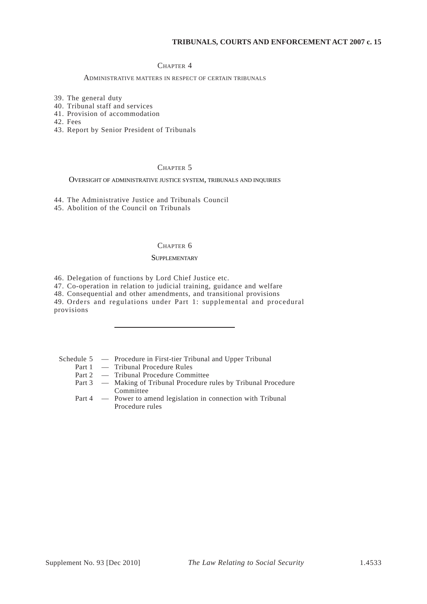#### CHAPTER 4

#### ADMINISTRATIVE MATTERS IN RESPECT OF CERTAIN TRIBUNALS

- 39. The general duty
- 40. Tribunal staff and services
- 41. Provision of accommodation

42. Fees

43. Report by Senior President of Tribunals

#### CHAPTER 5

#### OVERSIGHT OF ADMINISTRATIVE JUSTICE SYSTEM, TRIBUNALS AND INQUIRIES

44. The Administrative Justice and Tribunals Council

45. Abolition of the Council on Tribunals

#### CHAPTER 6

#### SUPPLEMENTARY

46. Delegation of functions by Lord Chief Justice etc.

47. Co-operation in relation to judicial training, guidance and welfare

48. Consequential and other amendments, and transitional provisions

49. Orders and regulations under Part 1: supplemental and procedural provisions

Schedule 5 — Procedure in First-tier Tribunal and Upper Tribunal

- Part 1 Tribunal Procedure Rules
- Part 2 Tribunal Procedure Committee
- Part 3 Making of Tribunal Procedure rules by Tribunal Procedure Committee
- Part 4 Power to amend legislation in connection with Tribunal Procedure rules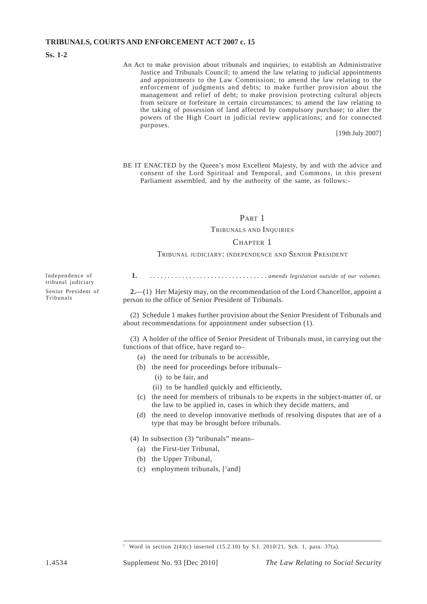**Ss. 1-2** 

Independence of tribunal judiciary Senior President of

Tribunals

An Act to make provision about tribunals and inquiries; to establish an Administrative Justice and Tribunals Council; to amend the law relating to judicial appointments and appointments to the Law Commission; to amend the law relating to the enforcement of judgments and debts; to make further provision about the management and relief of debt; to make provision protecting cultural objects from seizure or forfeiture in certain circumstances; to amend the law relating to the taking of possession of land affected by compulsory purchase; to alter the powers of the High Court in judicial review applications; and for connected purposes.

[19th July 2007]

BE IT ENACTED by the Queen's most Excellent Majesty, by and with the advice and consent of the Lord Spiritual and Temporal, and Commons, in this present Parliament assembled, and by the authority of the same, as follows:–

#### PART 1

#### TRIBUNALS AND INQUIRIES

#### CHAPTER 1

#### TRIBUNAL JUDICIARY: INDEPENDENCE AND SENIOR PRESIDENT

**1.** . . . . . . . . . . . . . . . . . . . . . . . . . . . . . . . . . *amends legislation outside of our volumes.* 

**2.**—(1) Her Majesty may, on the recommendation of the Lord Chancellor, appoint a person to the office of Senior President of Tribunals.

(2) Schedule 1 makes further provision about the Senior President of Tribunals and about recommendations for appointment under subsection (1).

(3) A holder of the office of Senior President of Tribunals must, in carrying out the functions of that office, have regard to–

- (a) the need for tribunals to be accessible,
- (b) the need for proceedings before tribunals–
	- (i) to be fair, and
	- (ii) to be handled quickly and efficiently,
- (c) the need for members of tribunals to be experts in the subject-matter of, or the law to be applied in, cases in which they decide matters, and
- (d) the need to develop innovative methods of resolving disputes that are of a type that may be brought before tribunals.
- (4) In subsection (3) "tribunals" means–
	- (a) the First-tier Tribunal,
	- (b) the Upper Tribunal,
	- $(c)$  employment tribunals,  $[1]$  and  $]$

Word in section  $2(4)(c)$  inserted (15.2.10) by S.I. 2010/21, Sch. 1, para. 37(a).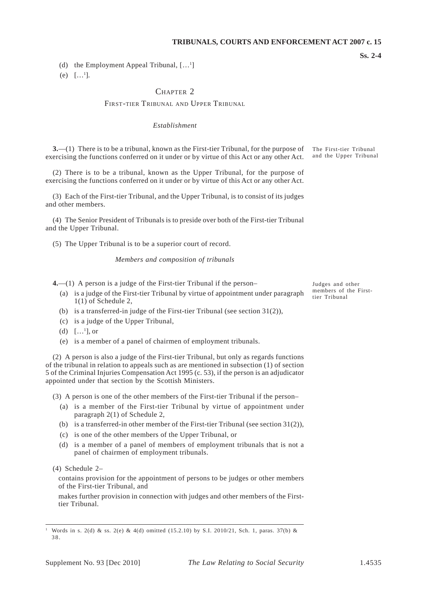(d) the Employment Appeal Tribunal,  $[\dots]$ 

(e)  $[...]$ .

### CHAPTER<sub>2</sub>

#### FIRST-TIER TRIBUNAL AND UPPER TRIBUNAL

#### *Establishment*

**3.**—(1) There is to be a tribunal, known as the First-tier Tribunal, for the purpose of exercising the functions conferred on it under or by virtue of this Act or any other Act. The First-tier Tribunal and the Upper Tribunal

(2) There is to be a tribunal, known as the Upper Tribunal, for the purpose of exercising the functions conferred on it under or by virtue of this Act or any other Act.

(3) Each of the First-tier Tribunal, and the Upper Tribunal, is to consist of its judges and other members.

(4) The Senior President of Tribunals is to preside over both of the First-tier Tribunal and the Upper Tribunal.

(5) The Upper Tribunal is to be a superior court of record.

#### *Members and composition of tribunals*

**4.**—(1) A person is a judge of the First-tier Tribunal if the person–<br>
(a) is a class of the First-tier Tribunal in the experiment and personal members of the First-

- (a) is a judge of the First-tier Tribunal by virtue of appointment under paragraph members of the Firstto a judge of the FIRE the Tribunal by virtue of appointment and expansion  $t$  tier Tribunal  $1(1)$  of Schedule 2,
- (b) is a transferred-in judge of the First-tier Tribunal (see section  $31(2)$ ),
- (c) is a judge of the Upper Tribunal,
- (d)  $[...]$ , or
- (e) is a member of a panel of chairmen of employment tribunals.

(2) A person is also a judge of the First-tier Tribunal, but only as regards functions of the tribunal in relation to appeals such as are mentioned in subsection (1) of section 5 of the Criminal Injuries Compensation Act 1995 (c. 53), if the person is an adjudicator appointed under that section by the Scottish Ministers.

- (3) A person is one of the other members of the First-tier Tribunal if the person–
	- (a) is a member of the First-tier Tribunal by virtue of appointment under paragraph 2(1) of Schedule 2,
	- (b) is a transferred-in other member of the First-tier Tribunal (see section  $31(2)$ ),
	- (c) is one of the other members of the Upper Tribunal, or
	- (d) is a member of a panel of members of employment tribunals that is not a panel of chairmen of employment tribunals.

(4) Schedule 2–

contains provision for the appointment of persons to be judges or other members of the First-tier Tribunal, and

makes further provision in connection with judges and other members of the Firsttier Tribunal.

**Ss. 2-4** 

Words in s. 2(d) & ss. 2(e) & 4(d) omitted (15.2.10) by S.I. 2010/21, Sch. 1, paras. 37(b) & 38.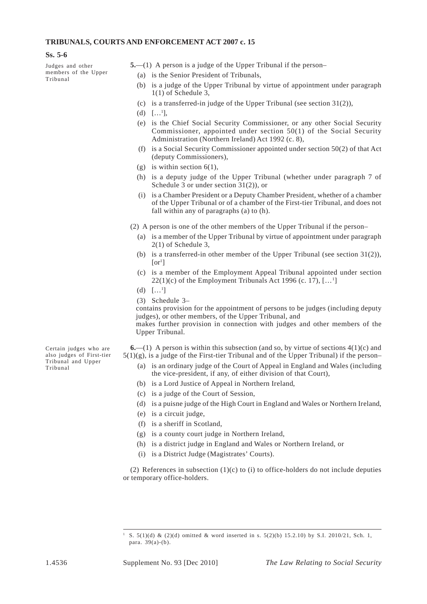#### **Ss. 5-6**

Judges and other members of the Upper Tribunal

- **5.**—(1) A person is a judge of the Upper Tribunal if the person–
	- (a) is the Senior President of Tribunals,
	- (b) is a judge of the Upper Tribunal by virtue of appointment under paragraph  $1(1)$  of Schedule 3.
	- (c) is a transferred-in judge of the Upper Tribunal (see section  $31(2)$ ),
	- (d)  $[...]$ ,
	- (e) is the Chief Social Security Commissioner, or any other Social Security Commissioner, appointed under section 50(1) of the Social Security Administration (Northern Ireland) Act 1992 (c. 8),
	- (f) is a Social Security Commissioner appointed under section  $50(2)$  of that Act (deputy Commissioners),
	- (g) is within section  $6(1)$ ,
	- (h) is a deputy judge of the Upper Tribunal (whether under paragraph 7 of Schedule 3 or under section 31(2)), or
	- (i) is a Chamber President or a Deputy Chamber President, whether of a chamber of the Upper Tribunal or of a chamber of the First-tier Tribunal, and does not fall within any of paragraphs (a) to (h).

(2) A person is one of the other members of the Upper Tribunal if the person–

- (a) is a member of the Upper Tribunal by virtue of appointment under paragraph 2(1) of Schedule 3,
- (b) is a transferred-in other member of the Upper Tribunal (see section  $31(2)$ ),  $[or^1]$
- (c) is a member of the Employment Appeal Tribunal appointed under section  $22(1)(c)$  of the Employment Tribunals Act 1996 (c. 17),  $[\dots^1]$
- (d)  $[...]$
- (3) Schedule 3–

contains provision for the appointment of persons to be judges (including deputy judges), or other members, of the Upper Tribunal, and

makes further provision in connection with judges and other members of the Upper Tribunal.

**6.**—(1) A person is within this subsection (and so, by virtue of sections  $4(1)(c)$  and  $5(1)(g)$ , is a judge of the First-tier Tribunal and of the Upper Tribunal) if the person–

- (a) is an ordinary judge of the Court of Appeal in England and Wales (including the vice-president, if any, of either division of that Court),
- (b) is a Lord Justice of Appeal in Northern Ireland,
- (c) is a judge of the Court of Session,
- (d) is a puisne judge of the High Court in England and Wales or Northern Ireland,
- (e) is a circuit judge,
- (f) is a sheriff in Scotland,
- (g) is a county court judge in Northern Ireland,
- (h) is a district judge in England and Wales or Northern Ireland, or
- (i) is a District Judge (Magistrates' Courts).

(2) References in subsection  $(1)(c)$  to  $(i)$  to office-holders do not include deputies or temporary office-holders.

Certain judges who are also judges of First-tier Tribunal and Upper Tribunal

<sup>5. 5(1)(</sup>d) & (2)(d) omitted & word inserted in s. 5(2)(b) 15.2.10) by S.I. 2010/21, Sch. 1, para. 39(a)-(b).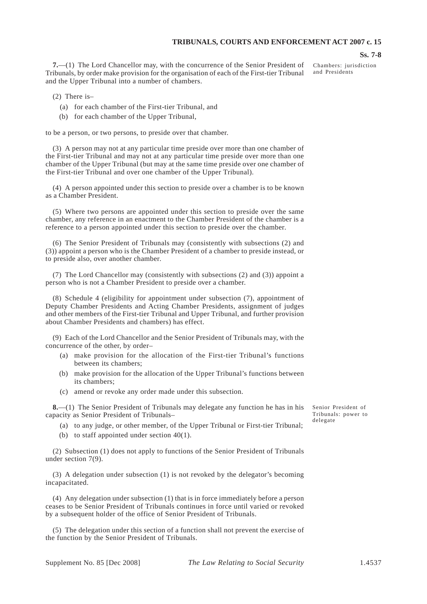#### **Ss. 7-8**

**7.**—(1) The Lord Chancellor may, with the concurrence of the Senior President of Tribunals, by order make provision for the organisation of each of the First-tier Tribunal and the Upper Tribunal into a number of chambers.

Chambers: jurisdiction and Presidents

- (2) There is–
	- (a) for each chamber of the First-tier Tribunal, and
	- (b) for each chamber of the Upper Tribunal,

to be a person, or two persons, to preside over that chamber.

(3) A person may not at any particular time preside over more than one chamber of the First-tier Tribunal and may not at any particular time preside over more than one chamber of the Upper Tribunal (but may at the same time preside over one chamber of the First-tier Tribunal and over one chamber of the Upper Tribunal).

(4) A person appointed under this section to preside over a chamber is to be known as a Chamber President.

(5) Where two persons are appointed under this section to preside over the same chamber, any reference in an enactment to the Chamber President of the chamber is a reference to a person appointed under this section to preside over the chamber.

(6) The Senior President of Tribunals may (consistently with subsections (2) and (3)) appoint a person who is the Chamber President of a chamber to preside instead, or to preside also, over another chamber.

(7) The Lord Chancellor may (consistently with subsections (2) and (3)) appoint a person who is not a Chamber President to preside over a chamber.

(8) Schedule 4 (eligibility for appointment under subsection (7), appointment of Deputy Chamber Presidents and Acting Chamber Presidents, assignment of judges and other members of the First-tier Tribunal and Upper Tribunal, and further provision about Chamber Presidents and chambers) has effect.

(9) Each of the Lord Chancellor and the Senior President of Tribunals may, with the concurrence of the other, by order–

- (a) make provision for the allocation of the First-tier Tribunal's functions between its chambers;
- (b) make provision for the allocation of the Upper Tribunal's functions between its chambers;
- (c) amend or revoke any order made under this subsection.

**8.**—(1) The Senior President of Tribunals may delegate any function he has in his capacity as Senior President of Tribunals–

- (a) to any judge, or other member, of the Upper Tribunal or First-tier Tribunal;
- (b) to staff appointed under section  $40(1)$ .

(2) Subsection (1) does not apply to functions of the Senior President of Tribunals under section 7(9).

(3) A delegation under subsection (1) is not revoked by the delegator's becoming incapacitated.

(4) Any delegation under subsection (1) that is in force immediately before a person ceases to be Senior President of Tribunals continues in force until varied or revoked by a subsequent holder of the office of Senior President of Tribunals.

(5) The delegation under this section of a function shall not prevent the exercise of the function by the Senior President of Tribunals.

Senior President of Tribunals: power to delegate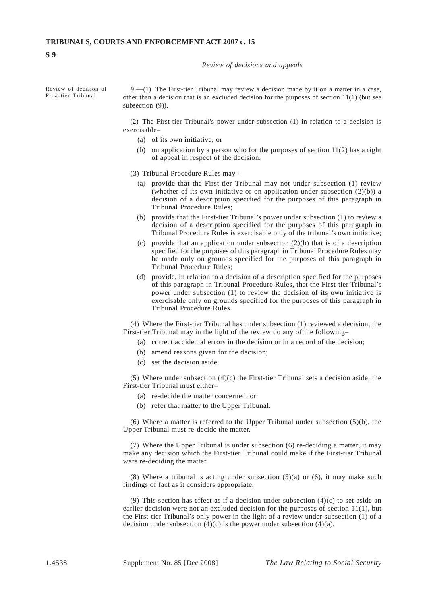#### *Review of decisions and appeals*

**S 9** 

Review of decision of **9.**—(1) The First-tier Tribunal may review a decision made by it on a matter in a case,<br>First-tier Tribunal other than a decision that is an excluded decision for the purposes of section  $11(1)$  (but see subsection (9)).

> (2) The First-tier Tribunal's power under subsection (1) in relation to a decision is exercisable–

- (a) of its own initiative, or
- (b) on application by a person who for the purposes of section  $11(2)$  has a right of appeal in respect of the decision.
- (3) Tribunal Procedure Rules may–
	- (a) provide that the First-tier Tribunal may not under subsection (1) review (whether of its own initiative or on application under subsection  $(2)(b)$ ) a decision of a description specified for the purposes of this paragraph in Tribunal Procedure Rules;
	- (b) provide that the First-tier Tribunal's power under subsection  $(1)$  to review a decision of a description specified for the purposes of this paragraph in Tribunal Procedure Rules is exercisable only of the tribunal's own initiative;
	- (c) provide that an application under subsection  $(2)(b)$  that is of a description specified for the purposes of this paragraph in Tribunal Procedure Rules may be made only on grounds specified for the purposes of this paragraph in Tribunal Procedure Rules;
	- (d) provide, in relation to a decision of a description specified for the purposes of this paragraph in Tribunal Procedure Rules, that the First-tier Tribunal's power under subsection (1) to review the decision of its own initiative is exercisable only on grounds specified for the purposes of this paragraph in Tribunal Procedure Rules.

(4) Where the First-tier Tribunal has under subsection (1) reviewed a decision, the First-tier Tribunal may in the light of the review do any of the following–

- (a) correct accidental errors in the decision or in a record of the decision;
- (b) amend reasons given for the decision;
- (c) set the decision aside.

(5) Where under subsection  $(4)(c)$  the First-tier Tribunal sets a decision aside, the First-tier Tribunal must either–

- (a) re-decide the matter concerned, or
- (b) refer that matter to the Upper Tribunal.

(6) Where a matter is referred to the Upper Tribunal under subsection (5)(b), the Upper Tribunal must re-decide the matter.

(7) Where the Upper Tribunal is under subsection (6) re-deciding a matter, it may make any decision which the First-tier Tribunal could make if the First-tier Tribunal were re-deciding the matter.

(8) Where a tribunal is acting under subsection  $(5)(a)$  or  $(6)$ , it may make such findings of fact as it considers appropriate.

(9) This section has effect as if a decision under subsection  $(4)(c)$  to set aside an earlier decision were not an excluded decision for the purposes of section 11(1), but the First-tier Tribunal's only power in the light of a review under subsection (1) of a decision under subsection  $(4)(c)$  is the power under subsection  $(4)(a)$ .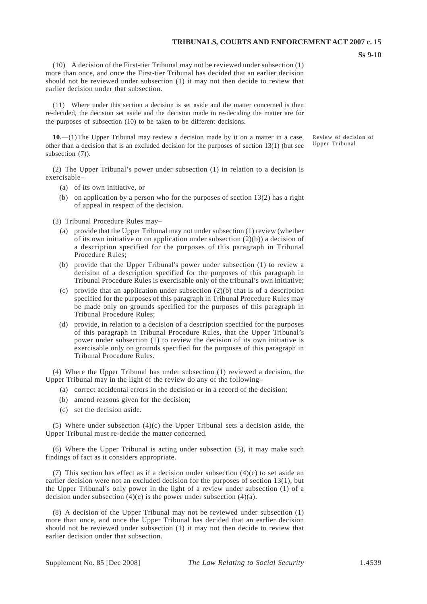(10) A decision of the First-tier Tribunal may not be reviewed under subsection (1) more than once, and once the First-tier Tribunal has decided that an earlier decision should not be reviewed under subsection (1) it may not then decide to review that earlier decision under that subsection.

(11) Where under this section a decision is set aside and the matter concerned is then re-decided, the decision set aside and the decision made in re-deciding the matter are for the purposes of subsection (10) to be taken to be different decisions.

**10.**—(1) The Upper Tribunal may review a decision made by it on a matter in a case, Review of decision of partial decision that is an excluded decision for the purposes of section 13(1) (but see Upper Tribunal other than a decision that is an excluded decision for the purposes of section  $13(1)$  (but see subsection (7)).

(2) The Upper Tribunal's power under subsection (1) in relation to a decision is exercisable–

- (a) of its own initiative, or
- (b) on application by a person who for the purposes of section  $13(2)$  has a right of appeal in respect of the decision.

(3) Tribunal Procedure Rules may–

- (a) provide that the Upper Tribunal may not under subsection (1) review (whether of its own initiative or on application under subsection (2)(b)) a decision of a description specified for the purposes of this paragraph in Tribunal Procedure Rules;
- (b) provide that the Upper Tribunal's power under subsection (1) to review a decision of a description specified for the purposes of this paragraph in Tribunal Procedure Rules is exercisable only of the tribunal's own initiative;
- (c) provide that an application under subsection  $(2)(b)$  that is of a description specified for the purposes of this paragraph in Tribunal Procedure Rules may be made only on grounds specified for the purposes of this paragraph in Tribunal Procedure Rules;
- (d) provide, in relation to a decision of a description specified for the purposes of this paragraph in Tribunal Procedure Rules, that the Upper Tribunal's power under subsection (1) to review the decision of its own initiative is exercisable only on grounds specified for the purposes of this paragraph in Tribunal Procedure Rules.

(4) Where the Upper Tribunal has under subsection (1) reviewed a decision, the Upper Tribunal may in the light of the review do any of the following–

- (a) correct accidental errors in the decision or in a record of the decision;
- (b) amend reasons given for the decision;
- (c) set the decision aside.

(5) Where under subsection  $(4)(c)$  the Upper Tribunal sets a decision aside, the Upper Tribunal must re-decide the matter concerned.

(6) Where the Upper Tribunal is acting under subsection (5), it may make such findings of fact as it considers appropriate.

(7) This section has effect as if a decision under subsection (4)(c) to set aside an earlier decision were not an excluded decision for the purposes of section 13(1), but the Upper Tribunal's only power in the light of a review under subsection (1) of a decision under subsection  $(4)(c)$  is the power under subsection  $(4)(a)$ .

(8) A decision of the Upper Tribunal may not be reviewed under subsection (1) more than once, and once the Upper Tribunal has decided that an earlier decision should not be reviewed under subsection (1) it may not then decide to review that earlier decision under that subsection.

**Ss 9-10**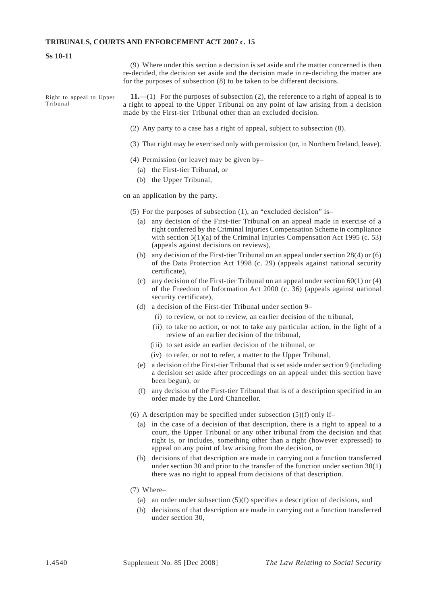#### **Ss 10-11**

(9) Where under this section a decision is set aside and the matter concerned is then re-decided, the decision set aside and the decision made in re-deciding the matter are for the purposes of subsection (8) to be taken to be different decisions.

Right to appeal to Upper  $11.$ —(1) For the purposes of subsection (2), the reference to a right of appeal is to Tribunal a right to appeal to the Upper Tribunal on any point of law arising from a decision made by the First-tier Tribunal other than an excluded decision.

- (2) Any party to a case has a right of appeal, subject to subsection (8).
- (3) That right may be exercised only with permission (or, in Northern Ireland, leave).
- (4) Permission (or leave) may be given by–
	- (a) the First-tier Tribunal, or
	- (b) the Upper Tribunal,

on an application by the party.

- (5) For the purposes of subsection (1), an "excluded decision" is–
	- (a) any decision of the First-tier Tribunal on an appeal made in exercise of a right conferred by the Criminal Injuries Compensation Scheme in compliance with section 5(1)(a) of the Criminal Injuries Compensation Act 1995 (c. 53) (appeals against decisions on reviews),
	- (b) any decision of the First-tier Tribunal on an appeal under section  $28(4)$  or (6) of the Data Protection Act 1998 (c. 29) (appeals against national security certificate),
	- (c) any decision of the First-tier Tribunal on an appeal under section  $60(1)$  or (4) of the Freedom of Information Act 2000 (c. 36) (appeals against national security certificate),
	- (d) a decision of the First-tier Tribunal under section 9–
		- (i) to review, or not to review, an earlier decision of the tribunal,
		- (ii) to take no action, or not to take any particular action, in the light of a review of an earlier decision of the tribunal,
		- (iii) to set aside an earlier decision of the tribunal, or
		- (iv) to refer, or not to refer, a matter to the Upper Tribunal,
	- (e) a decision of the First-tier Tribunal that is set aside under section 9 (including a decision set aside after proceedings on an appeal under this section have been begun), or
	- (f) any decision of the First-tier Tribunal that is of a description specified in an order made by the Lord Chancellor.
- (6) A description may be specified under subsection  $(5)(f)$  only if-
	- (a) in the case of a decision of that description, there is a right to appeal to a court, the Upper Tribunal or any other tribunal from the decision and that right is, or includes, something other than a right (however expressed) to appeal on any point of law arising from the decision, or
	- (b) decisions of that description are made in carrying out a function transferred under section 30 and prior to the transfer of the function under section 30(1) there was no right to appeal from decisions of that description.
- (7) Where–
	- (a) an order under subsection  $(5)(f)$  specifies a description of decisions, and
	- (b) decisions of that description are made in carrying out a function transferred under section 30,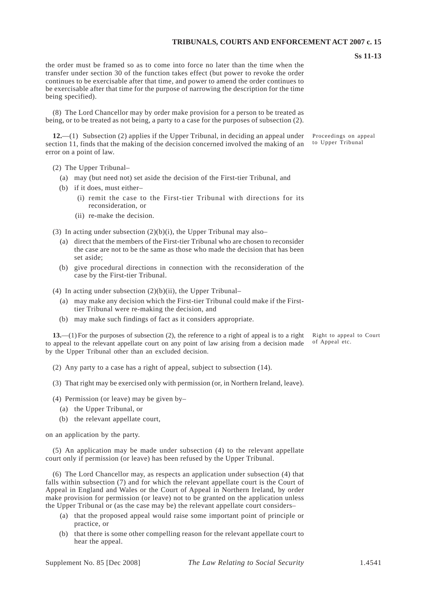the order must be framed so as to come into force no later than the time when the transfer under section 30 of the function takes effect (but power to revoke the order continues to be exercisable after that time, and power to amend the order continues to be exercisable after that time for the purpose of narrowing the description for the time being specified).

(8) The Lord Chancellor may by order make provision for a person to be treated as being, or to be treated as not being, a party to a case for the purposes of subsection (2).

**12.**—(1) Subsection (2) applies if the Upper Tribunal, in deciding an appeal under section 11, finds that the making of the decision concerned involved the making of an error on a point of law.

(2) The Upper Tribunal–

- (a) may (but need not) set aside the decision of the First-tier Tribunal, and
- (b) if it does, must either–
	- (i) remit the case to the First-tier Tribunal with directions for its reconsideration, or
	- (ii) re-make the decision.

(3) In acting under subsection  $(2)(b)(i)$ , the Upper Tribunal may also–

- (a) direct that the members of the First-tier Tribunal who are chosen to reconsider the case are not to be the same as those who made the decision that has been set aside;
- (b) give procedural directions in connection with the reconsideration of the case by the First-tier Tribunal.
- (4) In acting under subsection  $(2)(b)(ii)$ , the Upper Tribunal–
	- (a) may make any decision which the First-tier Tribunal could make if the Firsttier Tribunal were re-making the decision, and
	- (b) may make such findings of fact as it considers appropriate.

**13.**—(1) For the purposes of subsection (2), the reference to a right of appeal is to a right to appeal to the relevant appellate court on any point of law arising from a decision made by the Upper Tribunal other than an excluded decision.

(2) Any party to a case has a right of appeal, subject to subsection (14).

- (3) That right may be exercised only with permission (or, in Northern Ireland, leave).
- (4) Permission (or leave) may be given by–
	- (a) the Upper Tribunal, or
	- (b) the relevant appellate court,

on an application by the party.

(5) An application may be made under subsection (4) to the relevant appellate court only if permission (or leave) has been refused by the Upper Tribunal.

(6) The Lord Chancellor may, as respects an application under subsection (4) that falls within subsection (7) and for which the relevant appellate court is the Court of Appeal in England and Wales or the Court of Appeal in Northern Ireland, by order make provision for permission (or leave) not to be granted on the application unless the Upper Tribunal or (as the case may be) the relevant appellate court considers–

- (a) that the proposed appeal would raise some important point of principle or practice, or
- (b) that there is some other compelling reason for the relevant appellate court to hear the appeal.

Proceedings on appeal to Upper Tribu nal

Right to appeal to Court of Appeal etc.

**Ss 11-13**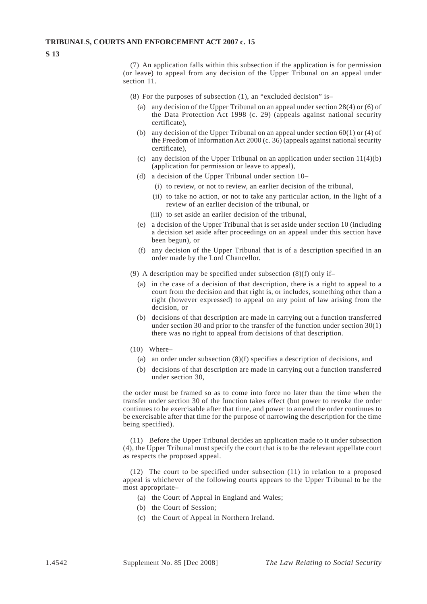**S 13** 

(7) An application falls within this subsection if the application is for permission (or leave) to appeal from any decision of the Upper Tribunal on an appeal under section 11.

- (8) For the purposes of subsection (1), an "excluded decision" is–
	- (a) any decision of the Upper Tribunal on an appeal under section 28(4) or (6) of the Data Protection Act 1998 (c. 29) (appeals against national security certificate),
	- (b) any decision of the Upper Tribunal on an appeal under section  $60(1)$  or (4) of the Freedom of Information Act 2000 (c. 36) (appeals against national security certificate),
	- (c) any decision of the Upper Tribunal on an application under section  $11(4)(b)$ (application for permission or leave to appeal),
	- (d) a decision of the Upper Tribunal under section 10–
		- (i) to review, or not to review, an earlier decision of the tribunal,
		- (ii) to take no action, or not to take any particular action, in the light of a review of an earlier decision of the tribunal, or
		- (iii) to set aside an earlier decision of the tribunal,
	- (e) a decision of the Upper Tribunal that is set aside under section 10 (including a decision set aside after proceedings on an appeal under this section have been begun), or
	- (f) any decision of the Upper Tribunal that is of a description specified in an order made by the Lord Chancellor.
- (9) A description may be specified under subsection (8)(f) only if–
	- (a) in the case of a decision of that description, there is a right to appeal to a court from the decision and that right is, or includes, something other than a right (however expressed) to appeal on any point of law arising from the decision, or
	- (b) decisions of that description are made in carrying out a function transferred under section 30 and prior to the transfer of the function under section 30(1) there was no right to appeal from decisions of that description.
- (10) Where–
	- (a) an order under subsection  $(8)(f)$  specifies a description of decisions, and
	- (b) decisions of that description are made in carrying out a function transferred under section 30,

the order must be framed so as to come into force no later than the time when the transfer under section 30 of the function takes effect (but power to revoke the order continues to be exercisable after that time, and power to amend the order continues to be exercisable after that time for the purpose of narrowing the description for the time being specified).

(11) Before the Upper Tribunal decides an application made to it under subsection (4), the Upper Tribunal must specify the court that is to be the relevant appellate court as respects the proposed appeal.

(12) The court to be specified under subsection (11) in relation to a proposed appeal is whichever of the following courts appears to the Upper Tribunal to be the most appropriate–

- (a) the Court of Appeal in England and Wales;
- (b) the Court of Session:
- (c) the Court of Appeal in Northern Ireland.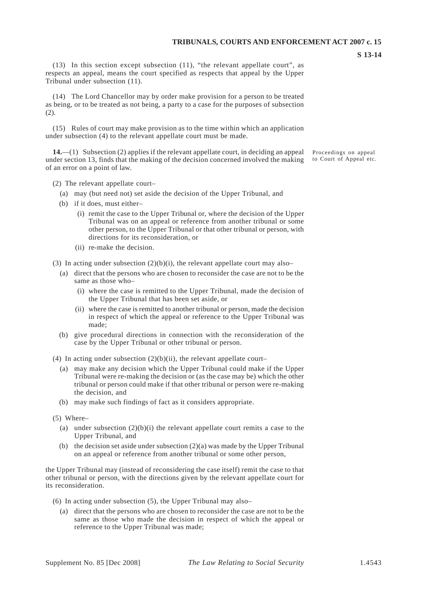(13) In this section except subsection (11), "the relevant appellate court", as respects an appeal, means the court specified as respects that appeal by the Upper Tribunal under subsection (11).

(14) The Lord Chancellor may by order make provision for a person to be treated as being, or to be treated as not being, a party to a case for the purposes of subsection (2).

(15) Rules of court may make provision as to the time within which an application under subsection (4) to the relevant appellate court must be made.

**14.**—(1) Subsection (2) applies if the relevant appellate court, in deciding an appeal under section 13, finds that the making of the decision concerned involved the making of an error on a point of law.

- (2) The relevant appellate court–
	- (a) may (but need not) set aside the decision of the Upper Tribunal, and
	- (b) if it does, must either–
		- (i) remit the case to the Upper Tribunal or, where the decision of the Upper Tribunal was on an appeal or reference from another tribunal or some other person, to the Upper Tribunal or that other tribunal or person, with directions for its reconsideration, or
		- (ii) re-make the decision.
- (3) In acting under subsection  $(2)(b)(i)$ , the relevant appellate court may also–
	- (a) direct that the persons who are chosen to reconsider the case are not to be the same as those who–
		- (i) where the case is remitted to the Upper Tribunal, made the decision of the Upper Tribunal that has been set aside, or
		- (ii) where the case is remitted to another tribunal or person, made the decision in respect of which the appeal or reference to the Upper Tribunal was made;
	- (b) give procedural directions in connection with the reconsideration of the case by the Upper Tribunal or other tribunal or person.

(4) In acting under subsection  $(2)(b)(ii)$ , the relevant appellate court–

- (a) may make any decision which the Upper Tribunal could make if the Upper Tribunal were re-making the decision or (as the case may be) which the other tribunal or person could make if that other tribunal or person were re-making the decision, and
- (b) may make such findings of fact as it considers appropriate.

(5) Where–

- (a) under subsection  $(2)(b)(i)$  the relevant appellate court remits a case to the Upper Tribunal, and
- (b) the decision set aside under subsection  $(2)(a)$  was made by the Upper Tribunal on an appeal or reference from another tribunal or some other person,

the Upper Tribunal may (instead of reconsidering the case itself) remit the case to that other tribunal or person, with the directions given by the relevant appellate court for its reconsideration.

- (6) In acting under subsection (5), the Upper Tribunal may also–
	- (a) direct that the persons who are chosen to reconsider the case are not to be the same as those who made the decision in respect of which the appeal or reference to the Upper Tribunal was made;

Proceedings on appeal to Court of Appeal etc.

**S 13-14**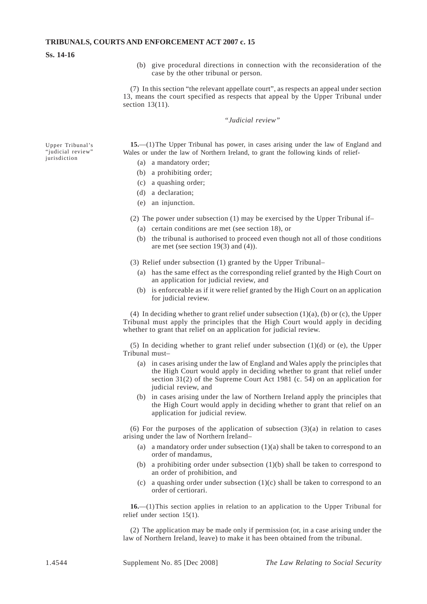#### **Ss. 14-16**

(b) give procedural directions in connection with the reconsideration of the case by the other tribunal or person.

(7) In this section "the relevant appellate court", as respects an appeal under section 13, means the court specified as respects that appeal by the Upper Tribunal under section 13(11).

#### *"Judicial review"*

Upper Tribunal's **15.**—(1) The Upper Tribunal has power, in cases arising under the law of England and "judicial review" Wales or under the law of Northern Ireland, to grant the following kinds of relief-"judicial review" Wales or under the law of Northern Ireland, to grant the following kinds of relief-<br>
(a) a mandatory order;

- 
- (b) a prohibiting order;
- (c) a quashing order;
- (d) a declaration;
- (e) an injunction.

(2) The power under subsection (1) may be exercised by the Upper Tribunal if–

- (a) certain conditions are met (see section 18), or
- (b) the tribunal is authorised to proceed even though not all of those conditions are met (see section 19(3) and (4)).
- (3) Relief under subsection (1) granted by the Upper Tribunal–
	- (a) has the same effect as the corresponding relief granted by the High Court on an application for judicial review, and
	- (b) is enforceable as if it were relief granted by the High Court on an application for judicial review.

(4) In deciding whether to grant relief under subsection  $(1)(a)$ , (b) or (c), the Upper Tribunal must apply the principles that the High Court would apply in deciding whether to grant that relief on an application for judicial review.

(5) In deciding whether to grant relief under subsection (1)(d) or (e), the Upper Tribunal must–

- (a) in cases arising under the law of England and Wales apply the principles that the High Court would apply in deciding whether to grant that relief under section 31(2) of the Supreme Court Act 1981 (c. 54) on an application for judicial review, and
- (b) in cases arising under the law of Northern Ireland apply the principles that the High Court would apply in deciding whether to grant that relief on an application for judicial review.

(6) For the purposes of the application of subsection  $(3)(a)$  in relation to cases arising under the law of Northern Ireland–

- (a) a mandatory order under subsection  $(1)(a)$  shall be taken to correspond to an order of mandamus,
- (b) a prohibiting order under subsection  $(1)(b)$  shall be taken to correspond to an order of prohibition, and
- (c) a quashing order under subsection  $(1)(c)$  shall be taken to correspond to an order of certiorari.

**16.**—(1)This section applies in relation to an application to the Upper Tribunal for relief under section 15(1).

(2) The application may be made only if permission (or, in a case arising under the law of Northern Ireland, leave) to make it has been obtained from the tribunal.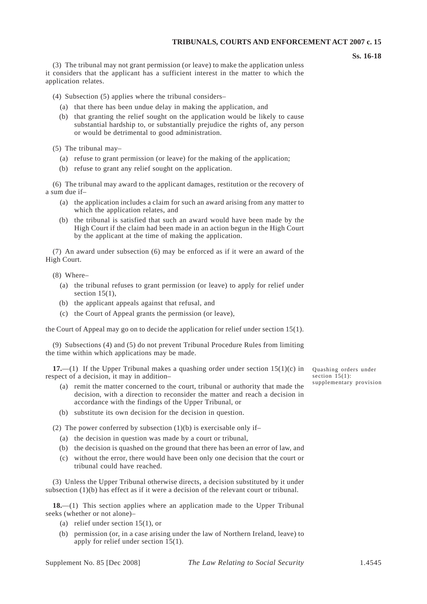**Ss. 16-18** 

(3) The tribunal may not grant permission (or leave) to make the application unless it considers that the applicant has a sufficient interest in the matter to which the application relates.

(4) Subsection (5) applies where the tribunal considers–

- (a) that there has been undue delay in making the application, and
- (b) that granting the relief sought on the application would be likely to cause substantial hardship to, or substantially prejudice the rights of, any person or would be detrimental to good administration.

(5) The tribunal may–

- (a) refuse to grant permission (or leave) for the making of the application;
- (b) refuse to grant any relief sought on the application.

(6) The tribunal may award to the applicant damages, restitution or the recovery of a sum due if–

- (a) the application includes a claim for such an award arising from any matter to which the application relates, and
- (b) the tribunal is satisfied that such an award would have been made by the High Court if the claim had been made in an action begun in the High Court by the applicant at the time of making the application.

(7) An award under subsection (6) may be enforced as if it were an award of the High Court.

(8) Where–

- (a) the tribunal refuses to grant permission (or leave) to apply for relief under section  $15(1)$ ,
- (b) the applicant appeals against that refusal, and
- (c) the Court of Appeal grants the permission (or leave),

the Court of Appeal may go on to decide the application for relief under section 15(1).

(9) Subsections (4) and (5) do not prevent Tribunal Procedure Rules from limiting the time within which applications may be made.

**17.**—(1) If the Upper Tribunal makes a quashing order under section  $15(1)(c)$  in Quashing orders under section  $15(1)$ : respect of a decision, it may in addition–<br>section 15(1):<br>supplementary provision

- (a) remit the matter concerned to the court, tribunal or authority that made the decision, with a direction to reconsider the matter and reach a decision in accordance with the findings of the Upper Tribunal, or
- (b) substitute its own decision for the decision in question.

(2) The power conferred by subsection  $(1)(b)$  is exercisable only if-

- (a) the decision in question was made by a court or tribunal,
- (b) the decision is quashed on the ground that there has been an error of law, and
- (c) without the error, there would have been only one decision that the court or tribunal could have reached.

(3) Unless the Upper Tribunal otherwise directs, a decision substituted by it under subsection  $(1)(b)$  has effect as if it were a decision of the relevant court or tribunal.

**18.**—(1) This section applies where an application made to the Upper Tribunal seeks (whether or not alone)–

- (a) relief under section  $15(1)$ , or
- (b) permission (or, in a case arising under the law of Northern Ireland, leave) to apply for relief under section 15(1).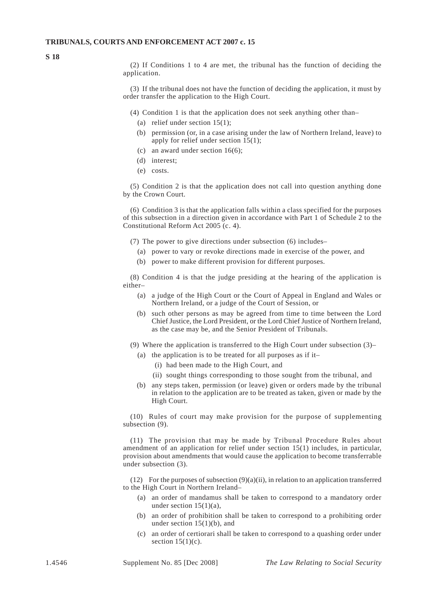**S 18** 

(2) If Conditions 1 to 4 are met, the tribunal has the function of deciding the application.

(3) If the tribunal does not have the function of deciding the application, it must by order transfer the application to the High Court.

- (4) Condition 1 is that the application does not seek anything other than–
	- (a) relief under section  $15(1)$ ;
	- (b) permission (or, in a case arising under the law of Northern Ireland, leave) to apply for relief under section  $15(1)$ ;
	- (c) an award under section  $16(6)$ ;
	- (d) interest;
	- (e) costs.

(5) Condition 2 is that the application does not call into question anything done by the Crown Court.

(6) Condition 3 is that the application falls within a class specified for the purposes of this subsection in a direction given in accordance with Part 1 of Schedule 2 to the Constitutional Reform Act 2005 (c. 4).

- (7) The power to give directions under subsection (6) includes–
	- (a) power to vary or revoke directions made in exercise of the power, and
	- (b) power to make different provision for different purposes.

(8) Condition 4 is that the judge presiding at the hearing of the application is either–

- (a) a judge of the High Court or the Court of Appeal in England and Wales or Northern Ireland, or a judge of the Court of Session, or
- (b) such other persons as may be agreed from time to time between the Lord Chief Justice, the Lord President, or the Lord Chief Justice of Northern Ireland, as the case may be, and the Senior President of Tribunals.
- (9) Where the application is transferred to the High Court under subsection (3)–
	- (a) the application is to be treated for all purposes as if it–
		- (i) had been made to the High Court, and
		- (ii) sought things corresponding to those sought from the tribunal, and
	- (b) any steps taken, permission (or leave) given or orders made by the tribunal in relation to the application are to be treated as taken, given or made by the High Court.

(10) Rules of court may make provision for the purpose of supplementing subsection  $(9)$ .

(11) The provision that may be made by Tribunal Procedure Rules about amendment of an application for relief under section 15(1) includes, in particular, provision about amendments that would cause the application to become transferrable under subsection (3).

(12) For the purposes of subsection  $(9)(a)(ii)$ , in relation to an application transferred to the High Court in Northern Ireland–

- (a) an order of mandamus shall be taken to correspond to a mandatory order under section  $15(1)(a)$ .
- (b) an order of prohibition shall be taken to correspond to a prohibiting order under section  $15(1)(b)$ , and
- (c) an order of certiorari shall be taken to correspond to a quashing order under section  $15(1)(c)$ .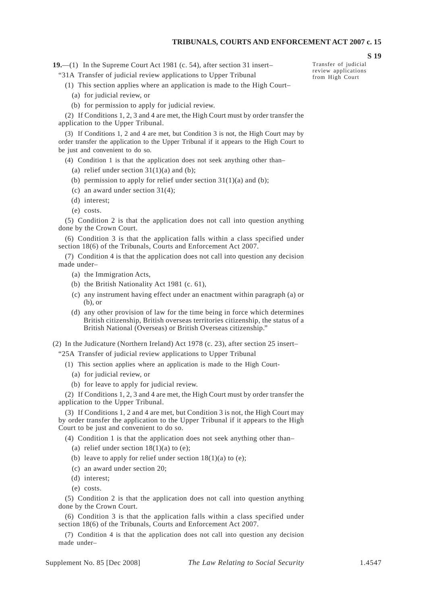**19.**—(1) In the Supreme Court Act 1981 (c. 54), after section 31 insert–

"31A Transfer of judicial review applications to Upper Tribunal

- (1) This section applies where an application is made to the High Court–
	- (a) for judicial review, or
	- (b) for permission to apply for judicial review.

(2) If Conditions 1, 2, 3 and 4 are met, the High Court must by order transfer the application to the Upper Tribunal.

(3) If Conditions 1, 2 and 4 are met, but Condition 3 is not, the High Court may by order transfer the application to the Upper Tribunal if it appears to the High Court to be just and convenient to do so.

(4) Condition 1 is that the application does not seek anything other than–

- (a) relief under section  $31(1)(a)$  and (b);
- (b) permission to apply for relief under section  $31(1)(a)$  and (b);
- (c) an award under section 31(4);
- (d) interest;
- (e) costs.

(5) Condition 2 is that the application does not call into question anything done by the Crown Court.

(6) Condition 3 is that the application falls within a class specified under section 18(6) of the Tribunals, Courts and Enforcement Act 2007.

(7) Condition 4 is that the application does not call into question any decision made under–

- (a) the Immigration Acts,
- (b) the British Nationality Act 1981 (c. 61),
- (c) any instrument having effect under an enactment within paragraph (a) or (b), or
- (d) any other provision of law for the time being in force which determines British citizenship, British overseas territories citizenship, the status of a British National (Overseas) or British Overseas citizenship."

(2) In the Judicature (Northern Ireland) Act 1978 (c. 23), after section 25 insert– "25A Transfer of judicial review applications to Upper Tribunal

- (1) This section applies where an application is made to the High Court
	- (a) for judicial review, or
	- (b) for leave to apply for judicial review.

(2) If Conditions 1, 2, 3 and 4 are met, the High Court must by order transfer the application to the Upper Tribunal.

(3) If Conditions 1, 2 and 4 are met, but Condition 3 is not, the High Court may by order transfer the application to the Upper Tribunal if it appears to the High Court to be just and convenient to do so.

(4) Condition 1 is that the application does not seek anything other than–

- (a) relief under section  $18(1)(a)$  to (e);
- (b) leave to apply for relief under section  $18(1)(a)$  to (e);
- (c) an award under section 20;
- (d) interest;
- (e) costs.

(5) Condition 2 is that the application does not call into question anything done by the Crown Court.

(6) Condition 3 is that the application falls within a class specified under section 18(6) of the Tribunals, Courts and Enforcement Act 2007.

(7) Condition 4 is that the application does not call into question any decision made under–

Transfer of judicial review applications from High Court

**S 19**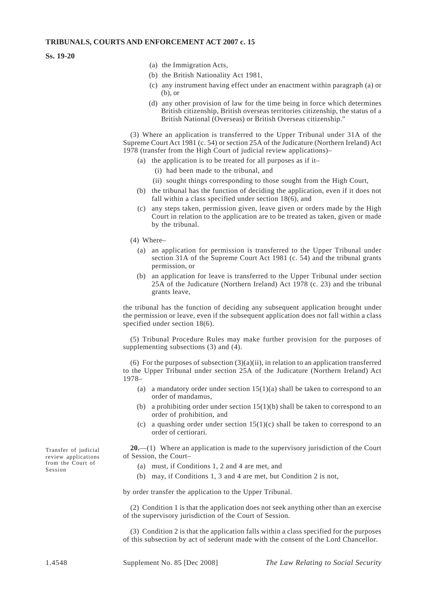#### **Ss. 19-20**

- (a) the Immigration Acts,
- (b) the British Nationality Act 1981,
- (c) any instrument having effect under an enactment within paragraph (a) or (b), or
- (d) any other provision of law for the time being in force which determines British citizenship, British overseas territories citizenship, the status of a British National (Overseas) or British Overseas citizenship."

(3) Where an application is transferred to the Upper Tribunal under 31A of the Supreme Court Act 1981 (c. 54) or section 25A of the Judicature (Northern Ireland) Act 1978 (transfer from the High Court of judicial review applications)–

(a) the application is to be treated for all purposes as if it-

- (i) had been made to the tribunal, and
- (ii) sought things corresponding to those sought from the High Court,
- (b) the tribunal has the function of deciding the application, even if it does not fall within a class specified under section 18(6), and
- (c) any steps taken, permission given, leave given or orders made by the High Court in relation to the application are to be treated as taken, given or made by the tribunal.
- (4) Where–
	- (a) an application for permission is transferred to the Upper Tribunal under section 31A of the Supreme Court Act 1981 (c. 54) and the tribunal grants permission, or
	- (b) an application for leave is transferred to the Upper Tribunal under section 25A of the Judicature (Northern Ireland) Act 1978 (c. 23) and the tribunal grants leave,

the tribunal has the function of deciding any subsequent application brought under the permission or leave, even if the subsequent application does not fall within a class specified under section 18(6).

(5) Tribunal Procedure Rules may make further provision for the purposes of supplementing subsections (3) and (4).

(6) For the purposes of subsection  $(3)(a)(ii)$ , in relation to an application transferred to the Upper Tribunal under section 25A of the Judicature (Northern Ireland) Act 1978–

- (a) a mandatory order under section  $15(1)(a)$  shall be taken to correspond to an order of mandamus,
- (b) a prohibiting order under section  $15(1)(b)$  shall be taken to correspond to an order of prohibition, and
- (c) a quashing order under section  $15(1)(c)$  shall be taken to correspond to an order of certiorari.

Transfer of judicial **20.**—(1) Where an application is made to the supervisory jurisdiction of the Court review applications of Session, the Court-

- from the Court of (a) must, if Conditions 1, 2 and 4 are met, and Session
	- (b) may, if Conditions 1, 3 and 4 are met, but Condition 2 is not,

by order transfer the application to the Upper Tribunal.

(2) Condition 1 is that the application does not seek anything other than an exercise of the supervisory jurisdiction of the Court of Session.

(3) Condition 2 is that the application falls within a class specified for the purposes of this subsection by act of sederunt made with the consent of the Lord Chancellor.

review applications of Session, the Court–<br>from the Court of  $\left( \begin{array}{cc} c \end{array} \right)$  and if Games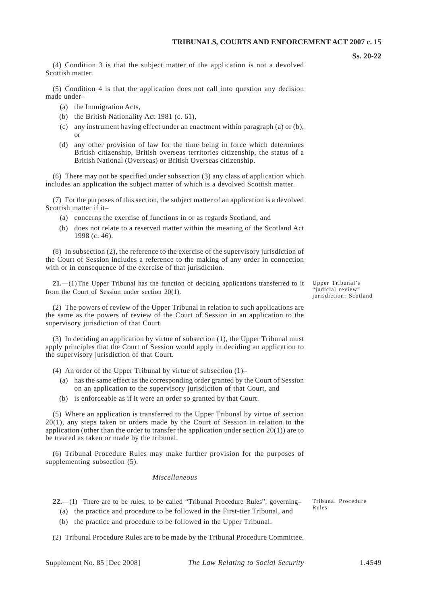(4) Condition 3 is that the subject matter of the application is not a devolved Scottish matter.

(5) Condition 4 is that the application does not call into question any decision made under–

- (a) the Immigration Acts,
- (b) the British Nationality Act 1981 (c. 61),
- (c) any instrument having effect under an enactment within paragraph (a) or (b), or
- (d) any other provision of law for the time being in force which determines British citizenship, British overseas territories citizenship, the status of a British National (Overseas) or British Overseas citizenship.

(6) There may not be specified under subsection (3) any class of application which includes an application the subject matter of which is a devolved Scottish matter.

(7) For the purposes of this section, the subject matter of an application is a devolved Scottish matter if it–

- (a) concerns the exercise of functions in or as regards Scotland, and
- (b) does not relate to a reserved matter within the meaning of the Scotland Act 1998 (c. 46).

(8) In subsection (2), the reference to the exercise of the supervisory jurisdiction of the Court of Session includes a reference to the making of any order in connection with or in consequence of the exercise of that jurisdiction.

21.—(1) The Upper Tribunal has the function of deciding applications transferred to it Upper Tribunal's<br>"indicial review" from the Court of Session under section  $20(1)$ .

(2) The powers of review of the Upper Tribunal in relation to such applications are the same as the powers of review of the Court of Session in an application to the supervisory jurisdiction of that Court.

(3) In deciding an application by virtue of subsection (1), the Upper Tribunal must apply principles that the Court of Session would apply in deciding an application to the supervisory jurisdiction of that Court.

- (4) An order of the Upper Tribunal by virtue of subsection (1)–
	- (a) has the same effect as the corresponding order granted by the Court of Session on an application to the supervisory jurisdiction of that Court, and
	- (b) is enforceable as if it were an order so granted by that Court.

(5) Where an application is transferred to the Upper Tribunal by virtue of section 20(1), any steps taken or orders made by the Court of Session in relation to the application (other than the order to transfer the application under section  $20(1)$ ) are to be treated as taken or made by the tribunal.

(6) Tribunal Procedure Rules may make further provision for the purposes of supplementing subsection (5).

#### *Miscellaneous*

22.—(1) There are to be rules, to be called "Tribunal Procedure Rules", governing– Tribunal Procedure (a) the practice and procedure to be followed in the First-tier Tribunal, and

(b) the practice and procedure to be followed in the Upper Tribunal.

(2) Tribunal Procedure Rules are to be made by the Tribunal Procedure Committee.

jurisdiction: Scotland

Rules

**Ss. 20-22**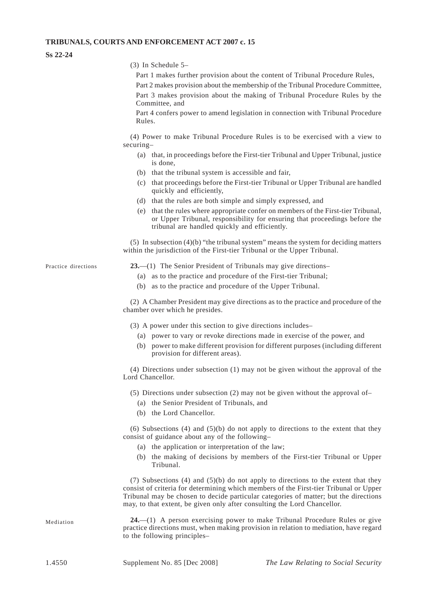#### **Ss 22-24**

- (3) In Schedule 5–
	- Part 1 makes further provision about the content of Tribunal Procedure Rules,

Part 2 makes provision about the membership of the Tribunal Procedure Committee, Part 3 makes provision about the making of Tribunal Procedure Rules by the Committee, and

Part 4 confers power to amend legislation in connection with Tribunal Procedure Rules.

(4) Power to make Tribunal Procedure Rules is to be exercised with a view to securing–

- (a) that, in proceedings before the First-tier Tribunal and Upper Tribunal, justice is done,
- (b) that the tribunal system is accessible and fair,
- (c) that proceedings before the First-tier Tribunal or Upper Tribunal are handled quickly and efficiently,
- (d) that the rules are both simple and simply expressed, and
- (e) that the rules where appropriate confer on members of the First-tier Tribunal, or Upper Tribunal, responsibility for ensuring that proceedings before the tribunal are handled quickly and efficiently.

(5) In subsection (4)(b) "the tribunal system" means the system for deciding matters within the jurisdiction of the First-tier Tribunal or the Upper Tribunal.

Practice directions **23.**—(1) The Senior President of Tribunals may give directions–

- (a) as to the practice and procedure of the First-tier Tribunal;
- (b) as to the practice and procedure of the Upper Tribunal.

(2) A Chamber President may give directions as to the practice and procedure of the chamber over which he presides.

- (3) A power under this section to give directions includes–
	- (a) power to vary or revoke directions made in exercise of the power, and
	- (b) power to make different provision for different purposes (including different provision for different areas).

(4) Directions under subsection (1) may not be given without the approval of the Lord Chancellor.

- (5) Directions under subsection (2) may not be given without the approval of–
	- (a) the Senior President of Tribunals, and
	- (b) the Lord Chancellor.

(6) Subsections (4) and (5)(b) do not apply to directions to the extent that they consist of guidance about any of the following–

- (a) the application or interpretation of the law;
- (b) the making of decisions by members of the First-tier Tribunal or Upper Tribunal.

(7) Subsections (4) and (5)(b) do not apply to directions to the extent that they consist of criteria for determining which members of the First-tier Tribunal or Upper Tribunal may be chosen to decide particular categories of matter; but the directions may, to that extent, be given only after consulting the Lord Chancellor.

Mediation **24.**—(1) A person exercising power to make Tribunal Procedure Rules or give practice directions must, when making provision in relation to mediation, have regard to the following principles–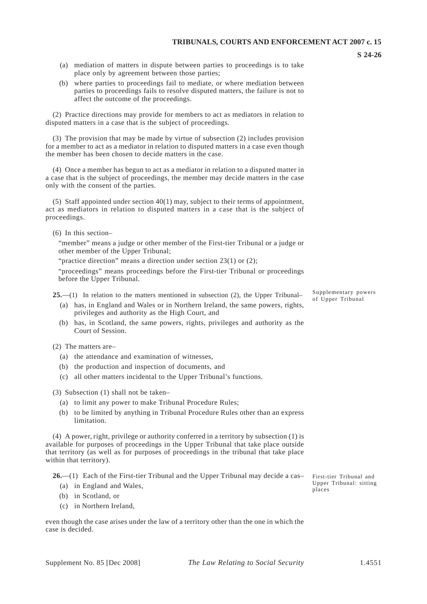- (a) mediation of matters in dispute between parties to proceedings is to take place only by agreement between those parties;
- (b) where parties to proceedings fail to mediate, or where mediation between parties to proceedings fails to resolve disputed matters, the failure is not to affect the outcome of the proceedings.

(2) Practice directions may provide for members to act as mediators in relation to disputed matters in a case that is the subject of proceedings.

(3) The provision that may be made by virtue of subsection (2) includes provision for a member to act as a mediator in relation to disputed matters in a case even though the member has been chosen to decide matters in the case.

(4) Once a member has begun to act as a mediator in relation to a disputed matter in a case that is the subject of proceedings, the member may decide matters in the case only with the consent of the parties.

(5) Staff appointed under section 40(1) may, subject to their terms of appointment, act as mediators in relation to disputed matters in a case that is the subject of proceedings.

(6) In this section–

"member" means a judge or other member of the First-tier Tribunal or a judge or other member of the Upper Tribunal;

"practice direction" means a direction under section 23(1) or (2);

"proceedings" means proceedings before the First-tier Tribunal or proceedings before the Upper Tribunal.

- **25.**—(1) In relation to the matters mentioned in subsection (2), the Upper Tribunal–  $\begin{array}{c} \text{Supplementary powers} \\ \text{of Upper Tribunal} \end{array}$ 
	- (a) has, in England and Wales or in Northern Ireland, the same powers, rights, privileges and authority as the High Court, and
	- (b) has, in Scotland, the same powers, rights, privileges and authority as the Court of Session.

(2) The matters are–

- (a) the attendance and examination of witnesses,
- (b) the production and inspection of documents, and
- (c) all other matters incidental to the Upper Tribunal's functions.

(3) Subsection (1) shall not be taken–

- (a) to limit any power to make Tribunal Procedure Rules;
- (b) to be limited by anything in Tribunal Procedure Rules other than an express limitation.

(4) A power, right, privilege or authority conferred in a territory by subsection (1) is available for purposes of proceedings in the Upper Tribunal that take place outside that territory (as well as for purposes of proceedings in the tribunal that take place within that territory).

**26.**—(1) Each of the First-tier Tribunal and the Upper Tribunal may decide a cas–<br>(2) in England and Wales

- (a) in England and Wales,
- (b) in Scotland, or
- (c) in Northern Ireland,

even though the case arises under the law of a territory other than the one in which the case is decided.

places

**S 24-26**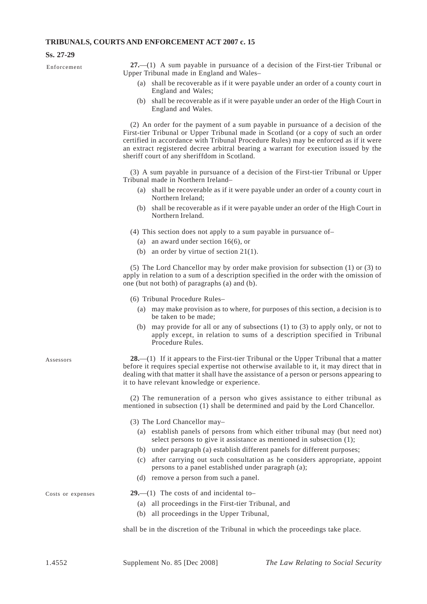#### **Ss. 27-29**

Enforcement **27.**—(1) A sum payable in pursuance of a decision of the First-tier Tribunal or Upper Tribunal made in England and Wales–

- (a) shall be recoverable as if it were payable under an order of a county court in England and Wales;
- (b) shall be recoverable as if it were payable under an order of the High Court in England and Wales.

(2) An order for the payment of a sum payable in pursuance of a decision of the First-tier Tribunal or Upper Tribunal made in Scotland (or a copy of such an order certified in accordance with Tribunal Procedure Rules) may be enforced as if it were an extract registered decree arbitral bearing a warrant for execution issued by the sheriff court of any sheriffdom in Scotland.

(3) A sum payable in pursuance of a decision of the First-tier Tribunal or Upper Tribunal made in Northern Ireland–

- (a) shall be recoverable as if it were payable under an order of a county court in Northern Ireland;
- (b) shall be recoverable as if it were payable under an order of the High Court in Northern Ireland.

(4) This section does not apply to a sum payable in pursuance of–

- (a) an award under section  $16(6)$ , or
- (b) an order by virtue of section  $21(1)$ .

(5) The Lord Chancellor may by order make provision for subsection (1) or (3) to apply in relation to a sum of a description specified in the order with the omission of one (but not both) of paragraphs (a) and (b).

- (6) Tribunal Procedure Rules–
	- (a) may make provision as to where, for purposes of this section, a decision is to be taken to be made;
	- (b) may provide for all or any of subsections  $(1)$  to  $(3)$  to apply only, or not to apply except, in relation to sums of a description specified in Tribunal Procedure Rules.

Assessors **28.**—(1) If it appears to the First-tier Tribunal or the Upper Tribunal that a matter before it requires special expertise not otherwise available to it, it may direct that in dealing with that matter it shall have the assistance of a person or persons appearing to it to have relevant knowledge or experience.

> (2) The remuneration of a person who gives assistance to either tribunal as mentioned in subsection (1) shall be determined and paid by the Lord Chancellor.

(3) The Lord Chancellor may–

- (a) establish panels of persons from which either tribunal may (but need not) select persons to give it assistance as mentioned in subsection (1);
- (b) under paragraph (a) establish different panels for different purposes;
- (c) after carrying out such consultation as he considers appropriate, appoint persons to a panel established under paragraph (a);
- (d) remove a person from such a panel.

- Costs or expenses **29.**—(1) The costs of and incidental to–
	- (a) all proceedings in the First-tier Tribunal, and
	- (b) all proceedings in the Upper Tribunal,

shall be in the discretion of the Tribunal in which the proceedings take place.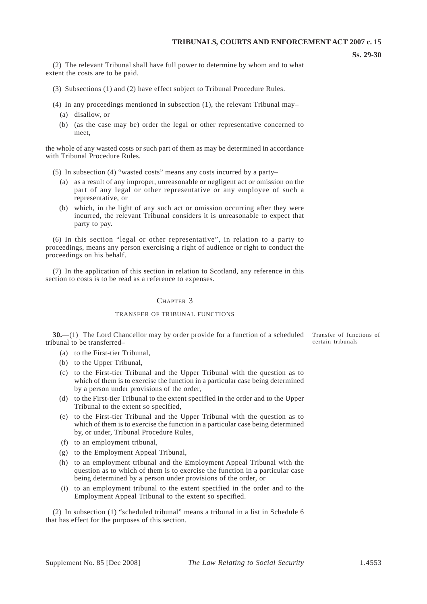**Ss. 29-30** 

(2) The relevant Tribunal shall have full power to determine by whom and to what extent the costs are to be paid.

- (3) Subsections (1) and (2) have effect subject to Tribunal Procedure Rules.
- (4) In any proceedings mentioned in subsection (1), the relevant Tribunal may–
	- (a) disallow, or
	- (b) (as the case may be) order the legal or other representative concerned to meet

the whole of any wasted costs or such part of them as may be determined in accordance with Tribunal Procedure Rules.

- (5) In subsection (4) "wasted costs" means any costs incurred by a party–
	- (a) as a result of any improper, unreasonable or negligent act or omission on the part of any legal or other representative or any employee of such a representative, or
	- (b) which, in the light of any such act or omission occurring after they were incurred, the relevant Tribunal considers it is unreasonable to expect that party to pay.

(6) In this section "legal or other representative", in relation to a party to proceedings, means any person exercising a right of audience or right to conduct the proceedings on his behalf.

(7) In the application of this section in relation to Scotland, any reference in this section to costs is to be read as a reference to expenses.

#### CHAPTER 3

#### TRANSFER OF TRIBUNAL FUNCTIONS

**30.**—(1) The Lord Chancellor may by order provide for a function of a scheduled Transfer of functions of hunal to be transferred tribunal to be transferred–

- (a) to the First-tier Tribunal,
- (b) to the Upper Tribunal,
- (c) to the First-tier Tribunal and the Upper Tribunal with the question as to which of them is to exercise the function in a particular case being determined by a person under provisions of the order,
- (d) to the First-tier Tribunal to the extent specified in the order and to the Upper Tribunal to the extent so specified,
- (e) to the First-tier Tribunal and the Upper Tribunal with the question as to which of them is to exercise the function in a particular case being determined by, or under, Tribunal Procedure Rules,
- (f) to an employment tribunal,
- (g) to the Employment Appeal Tribunal,
- (h) to an employment tribunal and the Employment Appeal Tribunal with the question as to which of them is to exercise the function in a particular case being determined by a person under provisions of the order, or
- (i) to an employment tribunal to the extent specified in the order and to the Employment Appeal Tribunal to the extent so specified.

(2) In subsection (1) "scheduled tribunal" means a tribunal in a list in Schedule 6 that has effect for the purposes of this section.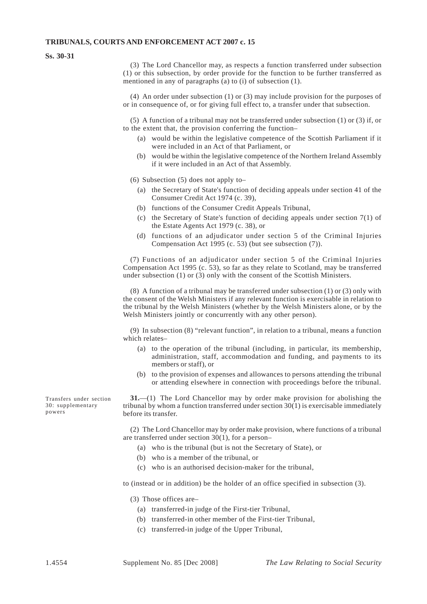#### **Ss. 30-31**

(3) The Lord Chancellor may, as respects a function transferred under subsection (1) or this subsection, by order provide for the function to be further transferred as mentioned in any of paragraphs (a) to (i) of subsection (1).

(4) An order under subsection (1) or (3) may include provision for the purposes of or in consequence of, or for giving full effect to, a transfer under that subsection.

(5) A function of a tribunal may not be transferred under subsection (1) or (3) if, or to the extent that, the provision conferring the function–

- (a) would be within the legislative competence of the Scottish Parliament if it were included in an Act of that Parliament, or
- (b) would be within the legislative competence of the Northern Ireland Assembly if it were included in an Act of that Assembly.

(6) Subsection (5) does not apply to–

- (a) the Secretary of State's function of deciding appeals under section 41 of the Consumer Credit Act 1974 (c. 39),
- (b) functions of the Consumer Credit Appeals Tribunal,
- (c) the Secretary of State's function of deciding appeals under section  $7(1)$  of the Estate Agents Act 1979 (c. 38), or
- (d) functions of an adjudicator under section 5 of the Criminal Injuries Compensation Act 1995 (c. 53) (but see subsection (7)).

(7) Functions of an adjudicator under section 5 of the Criminal Injuries Compensation Act 1995 (c. 53), so far as they relate to Scotland, may be transferred under subsection (1) or (3) only with the consent of the Scottish Ministers.

(8) A function of a tribunal may be transferred under subsection (1) or (3) only with the consent of the Welsh Ministers if any relevant function is exercisable in relation to the tribunal by the Welsh Ministers (whether by the Welsh Ministers alone, or by the Welsh Ministers jointly or concurrently with any other person).

(9) In subsection (8) "relevant function", in relation to a tribunal, means a function which relates–

- (a) to the operation of the tribunal (including, in particular, its membership, administration, staff, accommodation and funding, and payments to its members or staff), or
- (b) to the provision of expenses and allowances to persons attending the tribunal or attending elsewhere in connection with proceedings before the tribunal.

Transfers under section **31.**—(1) The Lord Chancellor may by order make provision for abolishing the 30; supplementary tribunal by whom a function transferred under section 30(1) is exercisable immediately  $30:$  supplementary tribunal by whom a function transferred under section  $30(1)$  is exercisable immediately powers before its transfer.

> (2) The Lord Chancellor may by order make provision, where functions of a tribunal are transferred under section 30(1), for a person–

- (a) who is the tribunal (but is not the Secretary of State), or
- (b) who is a member of the tribunal, or
- (c) who is an authorised decision-maker for the tribunal,

to (instead or in addition) be the holder of an office specified in subsection (3).

- (3) Those offices are–
	- (a) transferred-in judge of the First-tier Tribunal,
	- (b) transferred-in other member of the First-tier Tribunal,
	- (c) transferred-in judge of the Upper Tribunal,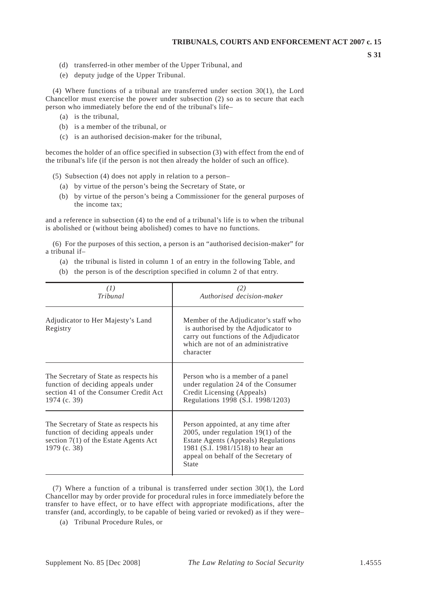**S 31** 

- (d) transferred-in other member of the Upper Tribunal, and
- (e) deputy judge of the Upper Tribunal.

(4) Where functions of a tribunal are transferred under section 30(1), the Lord Chancellor must exercise the power under subsection (2) so as to secure that each person who immediately before the end of the tribunal's life–

- (a) is the tribunal,
- (b) is a member of the tribunal, or
- (c) is an authorised decision-maker for the tribunal,

becomes the holder of an office specified in subsection (3) with effect from the end of the tribunal's life (if the person is not then already the holder of such an office).

(5) Subsection (4) does not apply in relation to a person–

- (a) by virtue of the person's being the Secretary of State, or
- (b) by virtue of the person's being a Commissioner for the general purposes of the income tax;

and a reference in subsection (4) to the end of a tribunal's life is to when the tribunal is abolished or (without being abolished) comes to have no functions.

(6) For the purposes of this section, a person is an "authorised decision-maker" for a tribunal if–

- (a) the tribunal is listed in column 1 of an entry in the following Table, and
- (b) the person is of the description specified in column 2 of that entry.

| (1)                                                                                                                                     | (2)                                                                                                                                                                                                                    |
|-----------------------------------------------------------------------------------------------------------------------------------------|------------------------------------------------------------------------------------------------------------------------------------------------------------------------------------------------------------------------|
| Tribunal                                                                                                                                | Authorised decision-maker                                                                                                                                                                                              |
| Adjudicator to Her Majesty's Land<br>Registry                                                                                           | Member of the Adjudicator's staff who<br>is authorised by the Adjudicator to<br>carry out functions of the Adjudicator<br>which are not of an administrative<br>character                                              |
| The Secretary of State as respects his                                                                                                  | Person who is a member of a panel                                                                                                                                                                                      |
| function of deciding appeals under                                                                                                      | under regulation 24 of the Consumer                                                                                                                                                                                    |
| section 41 of the Consumer Credit Act                                                                                                   | Credit Licensing (Appeals)                                                                                                                                                                                             |
| 1974 (c. 39)                                                                                                                            | Regulations 1998 (S.I. 1998/1203)                                                                                                                                                                                      |
| The Secretary of State as respects his<br>function of deciding appeals under<br>section $7(1)$ of the Estate Agents Act<br>1979 (c. 38) | Person appointed, at any time after<br>2005, under regulation $19(1)$ of the<br><b>Estate Agents (Appeals) Regulations</b><br>1981 (S.I. 1981/1518) to hear an<br>appeal on behalf of the Secretary of<br><b>State</b> |

(7) Where a function of a tribunal is transferred under section 30(1), the Lord Chancellor may by order provide for procedural rules in force immediately before the transfer to have effect, or to have effect with appropriate modifications, after the transfer (and, accordingly, to be capable of being varied or revoked) as if they were–

(a) Tribunal Procedure Rules, or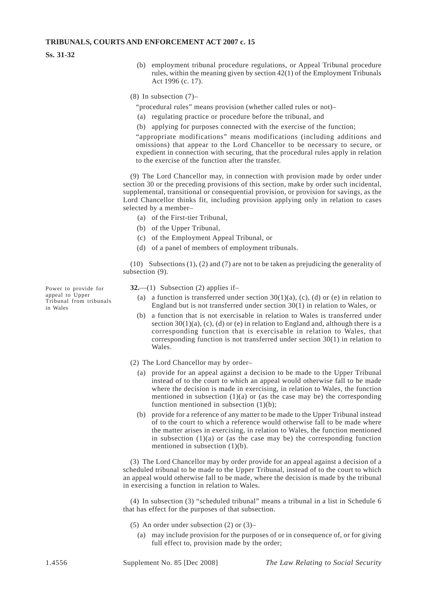**Ss. 31-32** 

- (b) employment tribunal procedure regulations, or Appeal Tribunal procedure rules, within the meaning given by section 42(1) of the Employment Tribunals Act 1996 (c. 17).
- (8) In subsection (7)–
	- "procedural rules" means provision (whether called rules or not)–
	- (a) regulating practice or procedure before the tribunal, and
	- (b) applying for purposes connected with the exercise of the function;

"appropriate modifications" means modifications (including additions and omissions) that appear to the Lord Chancellor to be necessary to secure, or expedient in connection with securing, that the procedural rules apply in relation to the exercise of the function after the transfer.

(9) The Lord Chancellor may, in connection with provision made by order under section 30 or the preceding provisions of this section, make by order such incidental, supplemental, transitional or consequential provision, or provision for savings, as the Lord Chancellor thinks fit, including provision applying only in relation to cases selected by a member–

- (a) of the First-tier Tribunal,
- (b) of the Upper Tribunal,
- (c) of the Employment Appeal Tribunal, or
- (d) of a panel of members of employment tribunals.

(10) Subsections (1), (2) and (7) are not to be taken as prejudicing the generality of subsection  $(9)$ .

- Power to provide for **32.**—(1) Subsection (2) applies if-<br>appeal to Upper (a) a function is transformed unde
- appeal to Upper (a) a function is transferred under section  $30(1)(a)$ , (c), (d) or (e) in relation to Tribunal from tribunals Tribunal from tribunals<br>in Wales England but is not transferred under section  $30(1)$  in relation to Wales, or
	- (b) a function that is not exercisable in relation to Wales is transferred under section  $30(1)(a)$ , (c), (d) or (e) in relation to England and, although there is a corresponding function that is exercisable in relation to Wales, that corresponding function is not transferred under section 30(1) in relation to Wales.
	- (2) The Lord Chancellor may by order–
		- (a) provide for an appeal against a decision to be made to the Upper Tribunal instead of to the court to which an appeal would otherwise fall to be made where the decision is made in exercising, in relation to Wales, the function mentioned in subsection  $(1)(a)$  or (as the case may be) the corresponding function mentioned in subsection  $(1)(b)$ ;
		- (b) provide for a reference of any matter to be made to the Upper Tribunal instead of to the court to which a reference would otherwise fall to be made where the matter arises in exercising, in relation to Wales, the function mentioned in subsection  $(1)(a)$  or (as the case may be) the corresponding function mentioned in subsection (1)(b).

(3) The Lord Chancellor may by order provide for an appeal against a decision of a scheduled tribunal to be made to the Upper Tribunal, instead of to the court to which an appeal would otherwise fall to be made, where the decision is made by the tribunal in exercising a function in relation to Wales.

(4) In subsection (3) "scheduled tribunal" means a tribunal in a list in Schedule 6 that has effect for the purposes of that subsection.

- (5) An order under subsection (2) or (3)–
	- (a) may include provision for the purposes of or in consequence of, or for giving full effect to, provision made by the order;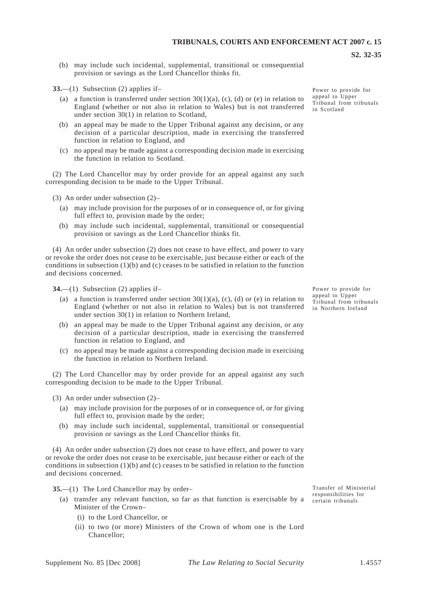(b) may include such incidental, supplemental, transitional or consequential provision or savings as the Lord Chancellor thinks fit.

**33.**—(1) Subsection (2) applies if–

- (a) a function is transferred under section  $30(1)(a)$ , (c), (d) or (e) in relation to England (whether or not also in relation to Wales) but is not transferred under section 30(1) in relation to Scotland,
- (b) an appeal may be made to the Upper Tribunal against any decision, or any decision of a particular description, made in exercising the transferred function in relation to England, and
- (c) no appeal may be made against a corresponding decision made in exercising the function in relation to Scotland.

(2) The Lord Chancellor may by order provide for an appeal against any such corresponding decision to be made to the Upper Tribunal.

(3) An order under subsection (2)–

- (a) may include provision for the purposes of or in consequence of, or for giving full effect to, provision made by the order;
- (b) may include such incidental, supplemental, transitional or consequential provision or savings as the Lord Chancellor thinks fit.

(4) An order under subsection (2) does not cease to have effect, and power to vary or revoke the order does not cease to be exercisable, just because either or each of the conditions in subsection (1)(b) and (c) ceases to be satisfied in relation to the function and decisions concerned.

**34.**—(1) Subsection (2) applies if–

- (a) a function is transferred under section  $30(1)(a)$ , (c), (d) or (e) in relation to England (whether or not also in relation to Wales) but is not transferred under section 30(1) in relation to Northern Ireland,
- (b) an appeal may be made to the Upper Tribunal against any decision, or any decision of a particular description, made in exercising the transferred function in relation to England, and
- (c) no appeal may be made against a corresponding decision made in exercising the function in relation to Northern Ireland.

(2) The Lord Chancellor may by order provide for an appeal against any such corresponding decision to be made to the Upper Tribunal.

(3) An order under subsection (2)–

- (a) may include provision for the purposes of or in consequence of, or for giving full effect to, provision made by the order;
- (b) may include such incidental, supplemental, transitional or consequential provision or savings as the Lord Chancellor thinks fit.

(4) An order under subsection (2) does not cease to have effect, and power to vary or revoke the order does not cease to be exercisable, just because either or each of the conditions in subsection  $(1)(b)$  and  $(c)$  ceases to be satisfied in relation to the function and decisions concerned.

**35.**—(1) The Lord Chancellor may by order–

- (a) transfer any relevant function, so far as that function is exercisable by a Minister of the Crown–
	- (i) to the Lord Chancellor, or
	- (ii) to two (or more) Ministers of the Crown of whom one is the Lord Chancellor;

Transfer of Ministerial responsibilities for certain tribunals

Power to provide for appeal to Upper Tribunal from tribunals in Scotland

**S2. 32-35** 

Power to provide for appeal to Upper Tribunal from tribunals in Northern Ireland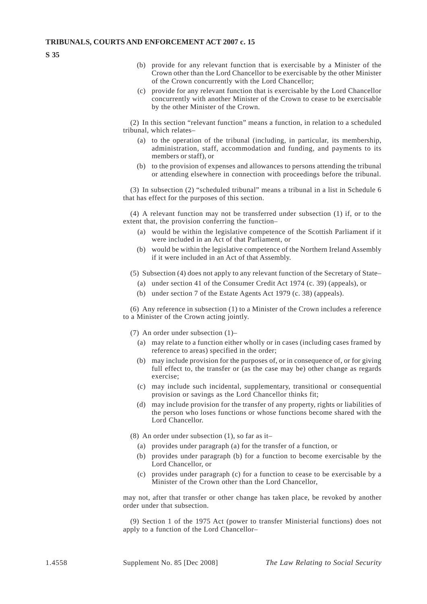**S 35** 

- (b) provide for any relevant function that is exercisable by a Minister of the Crown other than the Lord Chancellor to be exercisable by the other Minister of the Crown concurrently with the Lord Chancellor;
- (c) provide for any relevant function that is exercisable by the Lord Chancellor concurrently with another Minister of the Crown to cease to be exercisable by the other Minister of the Crown.

(2) In this section "relevant function" means a function, in relation to a scheduled tribunal, which relates–

- (a) to the operation of the tribunal (including, in particular, its membership, administration, staff, accommodation and funding, and payments to its members or staff), or
- (b) to the provision of expenses and allowances to persons attending the tribunal or attending elsewhere in connection with proceedings before the tribunal.

(3) In subsection (2) "scheduled tribunal" means a tribunal in a list in Schedule 6 that has effect for the purposes of this section.

(4) A relevant function may not be transferred under subsection (1) if, or to the extent that, the provision conferring the function–

- (a) would be within the legislative competence of the Scottish Parliament if it were included in an Act of that Parliament, or
- (b) would be within the legislative competence of the Northern Ireland Assembly if it were included in an Act of that Assembly.
- (5) Subsection (4) does not apply to any relevant function of the Secretary of State–
	- (a) under section 41 of the Consumer Credit Act 1974 (c. 39) (appeals), or
	- (b) under section 7 of the Estate Agents Act 1979 (c. 38) (appeals).

(6) Any reference in subsection (1) to a Minister of the Crown includes a reference to a Minister of the Crown acting jointly.

- (7) An order under subsection (1)–
	- (a) may relate to a function either wholly or in cases (including cases framed by reference to areas) specified in the order;
	- (b) may include provision for the purposes of, or in consequence of, or for giving full effect to, the transfer or (as the case may be) other change as regards exercise;
	- (c) may include such incidental, supplementary, transitional or consequential provision or savings as the Lord Chancellor thinks fit;
	- (d) may include provision for the transfer of any property, rights or liabilities of the person who loses functions or whose functions become shared with the Lord Chancellor.
- (8) An order under subsection (1), so far as it–
	- (a) provides under paragraph (a) for the transfer of a function, or
	- (b) provides under paragraph (b) for a function to become exercisable by the Lord Chancellor, or
	- (c) provides under paragraph (c) for a function to cease to be exercisable by a Minister of the Crown other than the Lord Chancellor,

may not, after that transfer or other change has taken place, be revoked by another order under that subsection.

(9) Section 1 of the 1975 Act (power to transfer Ministerial functions) does not apply to a function of the Lord Chancellor–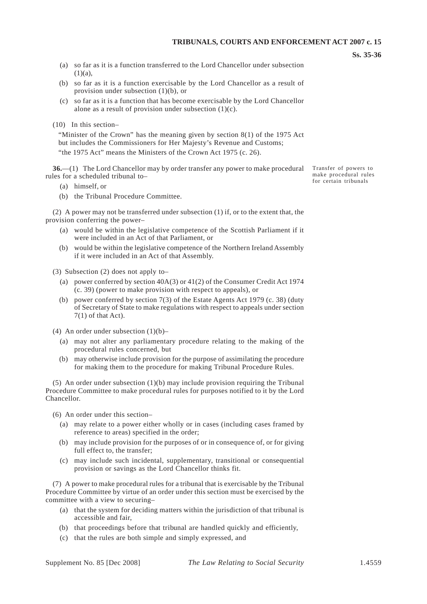**Ss. 35-36** 

- (a) so far as it is a function transferred to the Lord Chancellor under subsection  $(1)(a)$
- (b) so far as it is a function exercisable by the Lord Chancellor as a result of provision under subsection (1)(b), or
- (c) so far as it is a function that has become exercisable by the Lord Chancellor alone as a result of provision under subsection (1)(c).
- (10) In this section–

"Minister of the Crown" has the meaning given by section 8(1) of the 1975 Act but includes the Commissioners for Her Majesty's Revenue and Customs; "the 1975 Act" means the Ministers of the Crown Act 1975 (c. 26).

**36.**—(1) The Lord Chancellor may by order transfer any power to make procedural Transfer of powers to rules for a scheduled tribunal to–

- (a) himself, or
- (b) the Tribunal Procedure Committee.

(2) A power may not be transferred under subsection (1) if, or to the extent that, the provision conferring the power–

- (a) would be within the legislative competence of the Scottish Parliament if it were included in an Act of that Parliament, or
- (b) would be within the legislative competence of the Northern Ireland Assembly if it were included in an Act of that Assembly.

(3) Subsection (2) does not apply to–

- (a) power conferred by section 40A(3) or 41(2) of the Consumer Credit Act 1974 (c. 39) (power to make provision with respect to appeals), or
- (b) power conferred by section 7(3) of the Estate Agents Act 1979 (c. 38) (duty of Secretary of State to make regulations with respect to appeals under section  $7(1)$  of that Act).

(4) An order under subsection  $(1)(b)$ –

- (a) may not alter any parliamentary procedure relating to the making of the procedural rules concerned, but
- (b) may otherwise include provision for the purpose of assimilating the procedure for making them to the procedure for making Tribunal Procedure Rules.

(5) An order under subsection (1)(b) may include provision requiring the Tribunal Procedure Committee to make procedural rules for purposes notified to it by the Lord Chancellor.

(6) An order under this section–

- (a) may relate to a power either wholly or in cases (including cases framed by reference to areas) specified in the order;
- (b) may include provision for the purposes of or in consequence of, or for giving full effect to, the transfer;
- (c) may include such incidental, supplementary, transitional or consequential provision or savings as the Lord Chancellor thinks fit.

(7) A power to make procedural rules for a tribunal that is exercisable by the Tribunal Procedure Committee by virtue of an order under this section must be exercised by the committee with a view to securing–

- (a) that the system for deciding matters within the jurisdiction of that tribunal is accessible and fair,
- (b) that proceedings before that tribunal are handled quickly and efficiently,
- (c) that the rules are both simple and simply expressed, and

make procedural rules for certain tribunals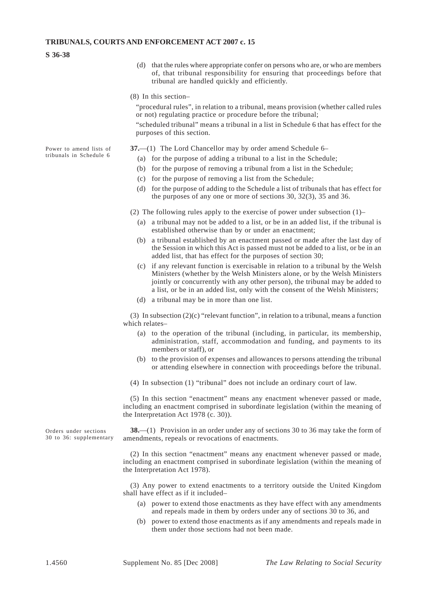#### **S 36-38**

(d) that the rules where appropriate confer on persons who are, or who are members of, that tribunal responsibility for ensuring that proceedings before that tribunal are handled quickly and efficiently.

#### (8) In this section–

"procedural rules", in relation to a tribunal, means provision (whether called rules or not) regulating practice or procedure before the tribunal;

"scheduled tribunal" means a tribunal in a list in Schedule 6 that has effect for the purposes of this section.

Power to amend lists of **37.**—(1) The Lord Chancellor may by order amend Schedule 6–<br>tribunals in Schedule 6

- (a) for the purpose of adding a tribunal to a list in the Schedule;
- (b) for the purpose of removing a tribunal from a list in the Schedule;
- (c) for the purpose of removing a list from the Schedule;
- (d) for the purpose of adding to the Schedule a list of tribunals that has effect for the purposes of any one or more of sections 30, 32(3), 35 and 36.

(2) The following rules apply to the exercise of power under subsection (1)–

- (a) a tribunal may not be added to a list, or be in an added list, if the tribunal is established otherwise than by or under an enactment;
- (b) a tribunal established by an enactment passed or made after the last day of the Session in which this Act is passed must not be added to a list, or be in an added list, that has effect for the purposes of section 30;
- (c) if any relevant function is exercisable in relation to a tribunal by the Welsh Ministers (whether by the Welsh Ministers alone, or by the Welsh Ministers jointly or concurrently with any other person), the tribunal may be added to a list, or be in an added list, only with the consent of the Welsh Ministers;
- (d) a tribunal may be in more than one list.

(3) In subsection  $(2)(c)$  "relevant function", in relation to a tribunal, means a function which relates–

- (a) to the operation of the tribunal (including, in particular, its membership, administration, staff, accommodation and funding, and payments to its members or staff), or
- (b) to the provision of expenses and allowances to persons attending the tribunal or attending elsewhere in connection with proceedings before the tribunal.
- (4) In subsection (1) "tribunal" does not include an ordinary court of law.

(5) In this section "enactment" means any enactment whenever passed or made, including an enactment comprised in subordinate legislation (within the meaning of the Interpretation Act 1978 (c. 30)).

Orders under sections **38.**—(1) Provision in an order under any of sections 30 to 36 may take the form of 30 to 36: supplementary amendments repeals or revocations of enactments amendments, repeals or revocations of enactments.

> (2) In this section "enactment" means any enactment whenever passed or made, including an enactment comprised in subordinate legislation (within the meaning of the Interpretation Act 1978).

> (3) Any power to extend enactments to a territory outside the United Kingdom shall have effect as if it included–

- (a) power to extend those enactments as they have effect with any amendments and repeals made in them by orders under any of sections 30 to 36, and
- (b) power to extend those enactments as if any amendments and repeals made in them under those sections had not been made.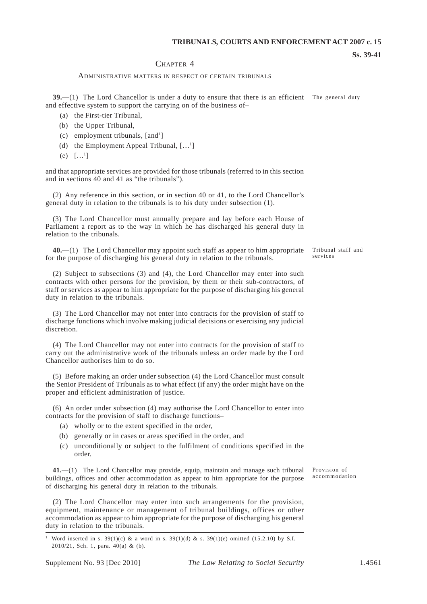#### **Ss. 39-41**

#### CHAPTER 4

#### ADMINISTRATIVE MATTERS IN RESPECT OF CERTAIN TRIBUNALS

**39.**—(1) The Lord Chancellor is under a duty to ensure that there is an efficient The general duty and effective system to support the carrying on of the business of–

- (a) the First-tier Tribunal,
- (b) the Upper Tribunal,
- $(c)$  employment tribunals, [and<sup>1</sup>]
- (d) the Employment Appeal Tribunal,  $[\dots]$
- (e)  $[...]$

and that appropriate services are provided for those tribunals (referred to in this section and in sections 40 and 41 as "the tribunals").

(2) Any reference in this section, or in section 40 or 41, to the Lord Chancellor's general duty in relation to the tribunals is to his duty under subsection (1).

(3) The Lord Chancellor must annually prepare and lay before each House of Parliament a report as to the way in which he has discharged his general duty in relation to the tribunals.

**40.**—(1) The Lord Chancellor may appoint such staff as appear to him appropriate for the purpose of discharging his general duty in relation to the tribunals. Tribunal staff and services

(2) Subject to subsections (3) and (4), the Lord Chancellor may enter into such contracts with other persons for the provision, by them or their sub-contractors, of staff or services as appear to him appropriate for the purpose of discharging his general duty in relation to the tribunals.

(3) The Lord Chancellor may not enter into contracts for the provision of staff to discharge functions which involve making judicial decisions or exercising any judicial discretion.

(4) The Lord Chancellor may not enter into contracts for the provision of staff to carry out the administrative work of the tribunals unless an order made by the Lord Chancellor authorises him to do so.

(5) Before making an order under subsection (4) the Lord Chancellor must consult the Senior President of Tribunals as to what effect (if any) the order might have on the proper and efficient administration of justice.

(6) An order under subsection (4) may authorise the Lord Chancellor to enter into contracts for the provision of staff to discharge functions–

- (a) wholly or to the extent specified in the order,
- (b) generally or in cases or areas specified in the order, and
- (c) unconditionally or subject to the fulfilment of conditions specified in the order.

**41.**—(1) The Lord Chancellor may provide, equip, maintain and manage such tribunal buildings, offices and other accommodation as appear to him appropriate for the purpose of discharging his general duty in relation to the tribunals.

(2) The Lord Chancellor may enter into such arrangements for the provision, equipment, maintenance or management of tribunal buildings, offices or other accommodation as appear to him appropriate for the purpose of discharging his general duty in relation to the tribunals.

Provision of accommodation

Word inserted in s. 39(1)(c) & a word in s. 39(1)(d) & s. 39(1)(e) omitted (15.2.10) by S.I. 2010/21, Sch. 1, para. 40(a) & (b).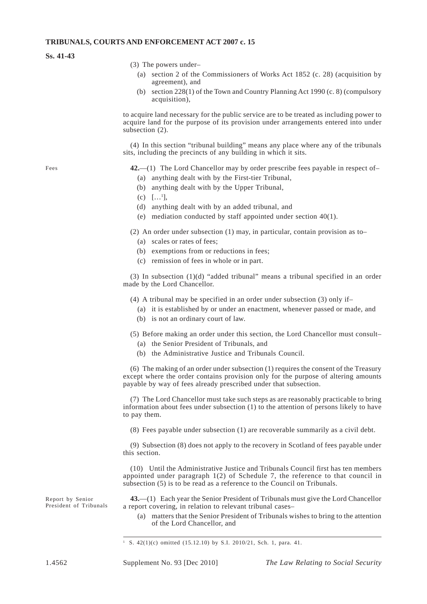#### **Ss. 41-43**

- (3) The powers under–
	- (a) section 2 of the Commissioners of Works Act 1852 (c. 28) (acquisition by agreement), and
	- (b) section  $228(1)$  of the Town and Country Planning Act 1990 (c. 8) (compulsory acquisition),

to acquire land necessary for the public service are to be treated as including power to acquire land for the purpose of its provision under arrangements entered into under subsection (2).

(4) In this section "tribunal building" means any place where any of the tribunals sits, including the precincts of any building in which it sits.

Fees **42.**—(1) The Lord Chancellor may by order prescribe fees payable in respect of–

- (a) anything dealt with by the First-tier Tribunal,
- (b) anything dealt with by the Upper Tribunal,
- $(c)$  [...<sup>1</sup>],
- (d) anything dealt with by an added tribunal, and
- (e) mediation conducted by staff appointed under section  $40(1)$ .

(2) An order under subsection (1) may, in particular, contain provision as to–

- (a) scales or rates of fees;
- (b) exemptions from or reductions in fees;
- (c) remission of fees in whole or in part.

(3) In subsection (1)(d) "added tribunal" means a tribunal specified in an order made by the Lord Chancellor.

- (4) A tribunal may be specified in an order under subsection (3) only if–
	- (a) it is established by or under an enactment, whenever passed or made, and
	- (b) is not an ordinary court of law.
- (5) Before making an order under this section, the Lord Chancellor must consult–
	- (a) the Senior President of Tribunals, and
	- (b) the Administrative Justice and Tribunals Council.

(6) The making of an order under subsection (1) requires the consent of the Treasury except where the order contains provision only for the purpose of altering amounts payable by way of fees already prescribed under that subsection.

(7) The Lord Chancellor must take such steps as are reasonably practicable to bring information about fees under subsection (1) to the attention of persons likely to have to pay them.

(8) Fees payable under subsection (1) are recoverable summarily as a civil debt.

(9) Subsection (8) does not apply to the recovery in Scotland of fees payable under this section.

(10) Until the Administrative Justice and Tribunals Council first has ten members appointed under paragraph 1(2) of Schedule 7, the reference to that council in subsection (5) is to be read as a reference to the Council on Tribunals.

Report by Senior **43.**—(1) Each year the Senior President of Tribunals must give the Lord Chancellor a report covering, in relation to relevant tribunal cases–

> (a) matters that the Senior President of Tribunals wishes to bring to the attention of the Lord Chancellor, and

<sup>1</sup> S. 42(1)(c) omitted (15.12.10) by S.I. 2010/21, Sch. 1, para. 41.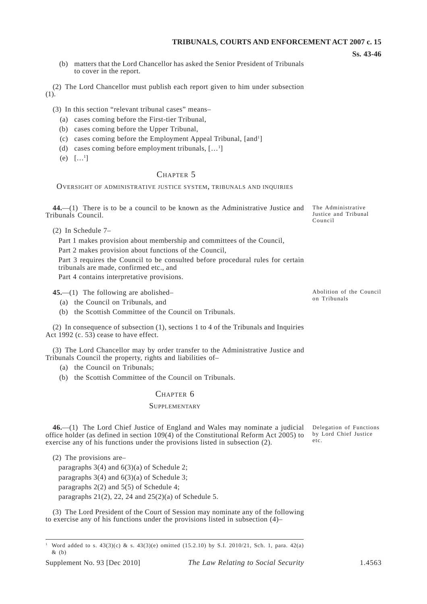- **Ss. 43-46**
- (b) matters that the Lord Chancellor has asked the Senior President of Tribunals to cover in the report.

(2) The Lord Chancellor must publish each report given to him under subsection (1).

(3) In this section "relevant tribunal cases" means–

- (a) cases coming before the First-tier Tribunal,
- (b) cases coming before the Upper Tribunal,
- (c) cases coming before the Employment Appeal Tribunal, [and<sup>1</sup>]
- (d) cases coming before employment tribunals,  $[\dots]$
- (e)  $[...]$

#### CHAPTER 5

OVERSIGHT OF ADMINISTRATIVE JUSTICE SYSTEM, TRIBUNALS AND INQUIRIES

**44.**—(1) There is to be a council to be known as the Administrative Justice and Tribunals Council.

(2) In Schedule 7–

Part 1 makes provision about membership and committees of the Council,

Part 2 makes provision about functions of the Council,

Part 3 requires the Council to be consulted before procedural rules for certain tribunals are made, confirmed etc., and

Part 4 contains interpretative provisions.

**45.**—(1) The following are abolished–

(a) the Council on Tribunals, and

(b) the Scottish Committee of the Council on Tribunals.

(2) In consequence of subsection (1), sections 1 to 4 of the Tribunals and Inquiries Act 1992 (c. 53) cease to have effect.

(3) The Lord Chancellor may by order transfer to the Administrative Justice and Tribunals Council the property, rights and liabilities of–

(a) the Council on Tribunals;

(b) the Scottish Committee of the Council on Tribunals.

#### CHAPTER 6

#### **SUPPLEMENTARY**

**46.**—(1) The Lord Chief Justice of England and Wales may nominate a judicial Delegation of Functions office holder (as defined in section 109(4) of the Constitutional Reform Act 2005) to by Lord Chief Justice exercise any of his functions under the provisions listed in subsection (2).

(2) The provisions are–

paragraphs 3(4) and 6(3)(a) of Schedule 2;

paragraphs 3(4) and 6(3)(a) of Schedule 3;

paragraphs 2(2) and 5(5) of Schedule 4;

paragraphs 21(2), 22, 24 and 25(2)(a) of Schedule 5.

(3) The Lord President of the Court of Session may nominate any of the following to exercise any of his functions under the provisions listed in subsection (4)–

Abolition of the Council on Tribunals

The Administrative Justice and Tribunal

Council

etc.

Word added to s.  $43(3)(c)$  & s.  $43(3)(e)$  omitted (15.2.10) by S.I. 2010/21, Sch. 1, para.  $42(a)$ & (b)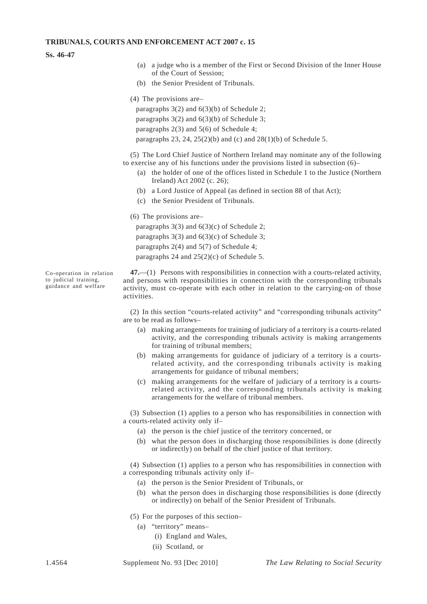#### **Ss. 46-47**

- (a) a judge who is a member of the First or Second Division of the Inner House of the Court of Session;
- (b) the Senior President of Tribunals.
- (4) The provisions are–

paragraphs 3(2) and 6(3)(b) of Schedule 2; paragraphs 3(2) and 6(3)(b) of Schedule 3; paragraphs 2(3) and 5(6) of Schedule 4; paragraphs 23, 24, 25(2)(b) and (c) and  $28(1)(b)$  of Schedule 5.

(5) The Lord Chief Justice of Northern Ireland may nominate any of the following to exercise any of his functions under the provisions listed in subsection (6)–

- (a) the holder of one of the offices listed in Schedule 1 to the Justice (Northern Ireland) Act 2002 (c. 26);
- (b) a Lord Justice of Appeal (as defined in section 88 of that Act);
- (c) the Senior President of Tribunals.

(6) The provisions are–

paragraphs 3(3) and 6(3)(c) of Schedule 2; paragraphs 3(3) and 6(3)(c) of Schedule 3; paragraphs 2(4) and 5(7) of Schedule 4; paragraphs 24 and  $25(2)(c)$  of Schedule 5.

Co-operation in relation **47.**—(1) Persons with responsibilities in connection with a courts-related activity, and persons with responsibilities in connection with the corresponding tribunals guidance and welfare activity activity, must co-operate with each other in relation to the carrying-on of those activities.

> (2) In this section "courts-related activity" and "corresponding tribunals activity" are to be read as follows–

- (a) making arrangements for training of judiciary of a territory is a courts-related activity, and the corresponding tribunals activity is making arrangements for training of tribunal members;
- (b) making arrangements for guidance of judiciary of a territory is a courtsrelated activity, and the corresponding tribunals activity is making arrangements for guidance of tribunal members;
- (c) making arrangements for the welfare of judiciary of a territory is a courtsrelated activity, and the corresponding tribunals activity is making arrangements for the welfare of tribunal members.

(3) Subsection (1) applies to a person who has responsibilities in connection with a courts-related activity only if–

- (a) the person is the chief justice of the territory concerned, or
- (b) what the person does in discharging those responsibilities is done (directly or indirectly) on behalf of the chief justice of that territory.

(4) Subsection (1) applies to a person who has responsibilities in connection with a corresponding tribunals activity only if–

- (a) the person is the Senior President of Tribunals, or
- (b) what the person does in discharging those responsibilities is done (directly or indirectly) on behalf of the Senior President of Tribunals.
- (5) For the purposes of this section–
	- (a) "territory" means–
		- (i) England and Wales,
		- (ii) Scotland, or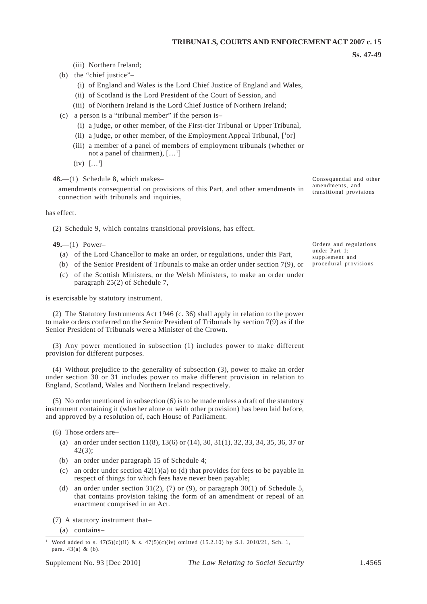#### **Ss. 47-49**

(iii) Northern Ireland;

- (b) the "chief justice"–
	- (i) of England and Wales is the Lord Chief Justice of England and Wales,
	- (ii) of Scotland is the Lord President of the Court of Session, and
	- (iii) of Northern Ireland is the Lord Chief Justice of Northern Ireland;
- (c) a person is a "tribunal member" if the person is–
	- (i) a judge, or other member, of the First-tier Tribunal or Upper Tribunal,
	- (ii) a judge, or other member, of the Employment Appeal Tribunal,  $[{}^{1}or]$
	- (iii) a member of a panel of members of employment tribunals (whether or not a panel of chairmen), [...<sup>1</sup>]
	- $(iv)$   $[...^1]$

**48.**—(1) Schedule 8, which makes–<br> **48.**—(1) Schedule 8, which makes–<br> **6.11.** Property and the amendments, and and other amendments consequential on provisions of this Part, and other amendments in transitional provisions connection with tribunals and inquiries,

has effect.

(2) Schedule 9, which contains transitional provisions, has effect.

- (a) of the Lord Chancellor to make an order, or regulations, under this Part,<br>
(b) of the Senior President of Tribunals to make an order under section 7(9) or procedural provisions
- (b) of the Senior President of Tribunals to make an order under section  $7(9)$ , or
- (c) of the Scottish Ministers, or the Welsh Ministers, to make an order under paragraph 25(2) of Schedule 7,

is exercisable by statutory instrument.

(2) The Statutory Instruments Act 1946 (c. 36) shall apply in relation to the power to make orders conferred on the Senior President of Tribunals by section 7(9) as if the Senior President of Tribunals were a Minister of the Crown.

(3) Any power mentioned in subsection (1) includes power to make different provision for different purposes.

(4) Without prejudice to the generality of subsection (3), power to make an order under section 30 or 31 includes power to make different provision in relation to England, Scotland, Wales and Northern Ireland respectively.

(5) No order mentioned in subsection (6) is to be made unless a draft of the statutory instrument containing it (whether alone or with other provision) has been laid before, and approved by a resolution of, each House of Parliament.

(6) Those orders are–

- (a) an order under section 11(8), 13(6) or (14), 30, 31(1), 32, 33, 34, 35, 36, 37 or 42(3);
- (b) an order under paragraph 15 of Schedule 4;
- (c) an order under section  $42(1)(a)$  to (d) that provides for fees to be payable in respect of things for which fees have never been payable;
- (d) an order under section 31(2), (7) or (9), or paragraph 30(1) of Schedule 5, that contains provision taking the form of an amendment or repeal of an enactment comprised in an Act.

(7) A statutory instrument that–

(a) contains–

**49.**—(1) Power–<br> **49.**—(1) Power–<br> **and regulations**<br> **and regulations** 

Word added to s.  $47(5)(c)(ii)$  & s.  $47(5)(c)(iv)$  omitted (15.2.10) by S.I. 2010/21, Sch. 1, para. 43(a) & (b).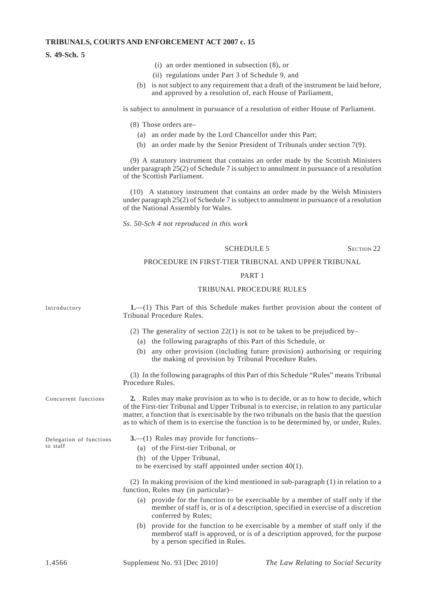#### **S. 49-Sch. 5**

- (i) an order mentioned in subsection (8), or
- (ii) regulations under Part 3 of Schedule 9, and
- (b) is not subject to any requirement that a draft of the instrument be laid before. and approved by a resolution of, each House of Parliament,

is subject to annulment in pursuance of a resolution of either House of Parliament.

(8) Those orders are–

- (a) an order made by the Lord Chancellor under this Part;
- (b) an order made by the Senior President of Tribunals under section 7(9).

(9) A statutory instrument that contains an order made by the Scottish Ministers under paragraph 25(2) of Schedule 7 is subject to annulment in pursuance of a resolution of the Scottish Parliament.

(10) A statutory instrument that contains an order made by the Welsh Ministers under paragraph 25(2) of Schedule 7 is subject to annulment in pursuance of a resolution of the National Assembly for Wales.

*Ss. 50-Sch 4 not reproduced in this work* 

#### SCHEDULE 5 SECTION 22

#### PROCEDURE IN FIRST-TIER TRIBUNAL AND UPPER TRIBUNAL

#### PART 1

#### TRIBUNAL PROCEDURE RULES

Introductory **1.**—(1) This Part of this Schedule makes further provision about the content of Tribunal Procedure Rules.

(2) The generality of section  $22(1)$  is not to be taken to be prejudiced by–

- (a) the following paragraphs of this Part of this Schedule, or
- (b) any other provision (including future provision) authorising or requiring the making of provision by Tribunal Procedure Rules.

(3) In the following paragraphs of this Part of this Schedule "Rules" means Tribunal Procedure Rules.

Concurrent functions **2.** Rules may make provision as to who is to decide, or as to how to decide, which of the First-tier Tribunal and Upper Tribunal is to exercise, in relation to any particular matter, a function that is exercisable by the two tribunals on the basis that the question as to which of them is to exercise the function is to be determined by, or under, Rules.

Delegation of functions **3.**—(1) Rules may provide for functions–

- to staff (a) of the First-tier Tribunal, or
	- (b) of the Upper Tribunal,
	- to be exercised by staff appointed under section 40(1).

(2) In making provision of the kind mentioned in sub-paragraph (1) in relation to a function, Rules may (in particular)–

- (a) provide for the function to be exercisable by a member of staff only if the member of staff is, or is of a description, specified in exercise of a discretion conferred by Rules;
- (b) provide for the function to be exercisable by a member of staff only if the memberof staff is approved, or is of a description approved, for the purpose by a person specified in Rules.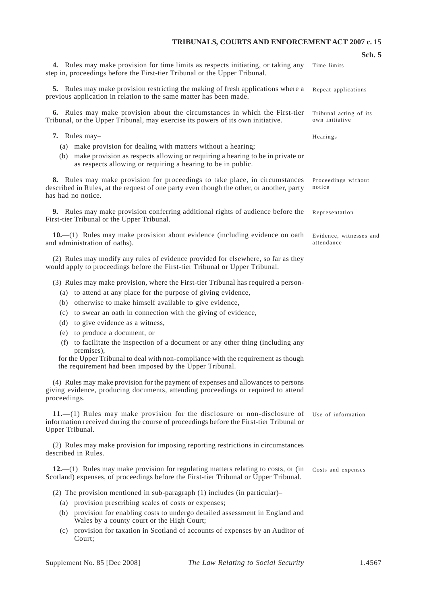**Sch. 5** 

|                                                                                                                                                                                                                                                                                                                                                                                                                                                                                                                                                                                                                           | Sch. 5                                   |
|---------------------------------------------------------------------------------------------------------------------------------------------------------------------------------------------------------------------------------------------------------------------------------------------------------------------------------------------------------------------------------------------------------------------------------------------------------------------------------------------------------------------------------------------------------------------------------------------------------------------------|------------------------------------------|
| 4. Rules may make provision for time limits as respects initiating, or taking any<br>step in, proceedings before the First-tier Tribunal or the Upper Tribunal.                                                                                                                                                                                                                                                                                                                                                                                                                                                           | Time limits                              |
| <b>5.</b> Rules may make provision restricting the making of fresh applications where a<br>previous application in relation to the same matter has been made.                                                                                                                                                                                                                                                                                                                                                                                                                                                             | Repeat applications                      |
| 6. Rules may make provision about the circumstances in which the First-tier<br>Tribunal, or the Upper Tribunal, may exercise its powers of its own initiative.                                                                                                                                                                                                                                                                                                                                                                                                                                                            | Tribunal acting of its<br>own initiative |
| 7. Rules may-<br>(a) make provision for dealing with matters without a hearing;<br>(b) make provision as respects allowing or requiring a hearing to be in private or<br>as respects allowing or requiring a hearing to be in public.                                                                                                                                                                                                                                                                                                                                                                                     | Hearings                                 |
| 8. Rules may make provision for proceedings to take place, in circumstances<br>described in Rules, at the request of one party even though the other, or another, party<br>has had no notice.                                                                                                                                                                                                                                                                                                                                                                                                                             | Proceedings without<br>notice            |
| <b>9.</b> Rules may make provision conferring additional rights of audience before the<br>First-tier Tribunal or the Upper Tribunal.                                                                                                                                                                                                                                                                                                                                                                                                                                                                                      | Representation                           |
| $10$ — $(1)$ Rules may make provision about evidence (including evidence on oath<br>and administration of oaths).                                                                                                                                                                                                                                                                                                                                                                                                                                                                                                         | Evidence, witnesses and<br>attendance    |
| (2) Rules may modify any rules of evidence provided for elsewhere, so far as they<br>would apply to proceedings before the First-tier Tribunal or Upper Tribunal.                                                                                                                                                                                                                                                                                                                                                                                                                                                         |                                          |
| (3) Rules may make provision, where the First-tier Tribunal has required a person-<br>(a) to attend at any place for the purpose of giving evidence,<br>(b) otherwise to make himself available to give evidence,<br>to swear an oath in connection with the giving of evidence,<br>(c)<br>to give evidence as a witness,<br>(d)<br>to produce a document, or<br>(e)<br>to facilitate the inspection of a document or any other thing (including any<br>(f)<br>premises),<br>for the Upper Tribunal to deal with non-compliance with the requirement as though<br>the requirement had been imposed by the Upper Tribunal. |                                          |
| (4) Rules may make provision for the payment of expenses and allowances to persons<br>giving evidence, producing documents, attending proceedings or required to attend<br>proceedings.                                                                                                                                                                                                                                                                                                                                                                                                                                   |                                          |
| $11.$ —(1) Rules may make provision for the disclosure or non-disclosure of<br>information received during the course of proceedings before the First-tier Tribunal or<br>Upper Tribunal.                                                                                                                                                                                                                                                                                                                                                                                                                                 | Use of information                       |
| (2) Rules may make provision for imposing reporting restrictions in circumstances<br>described in Rules.                                                                                                                                                                                                                                                                                                                                                                                                                                                                                                                  |                                          |
| $12$ ,—(1) Rules may make provision for regulating matters relating to costs, or (in<br>Scotland) expenses, of proceedings before the First-tier Tribunal or Upper Tribunal.                                                                                                                                                                                                                                                                                                                                                                                                                                              | Costs and expenses                       |
| (2) The provision mentioned in sub-paragraph (1) includes (in particular)–                                                                                                                                                                                                                                                                                                                                                                                                                                                                                                                                                |                                          |
| (a) provision prescribing scales of costs or expenses;                                                                                                                                                                                                                                                                                                                                                                                                                                                                                                                                                                    |                                          |
| (b) provision for enabling costs to undergo detailed assessment in England and<br>Wales by a county court or the High Court;                                                                                                                                                                                                                                                                                                                                                                                                                                                                                              |                                          |
| provision for taxation in Scotland of accounts of expenses by an Auditor of<br>(c)<br>Court;                                                                                                                                                                                                                                                                                                                                                                                                                                                                                                                              |                                          |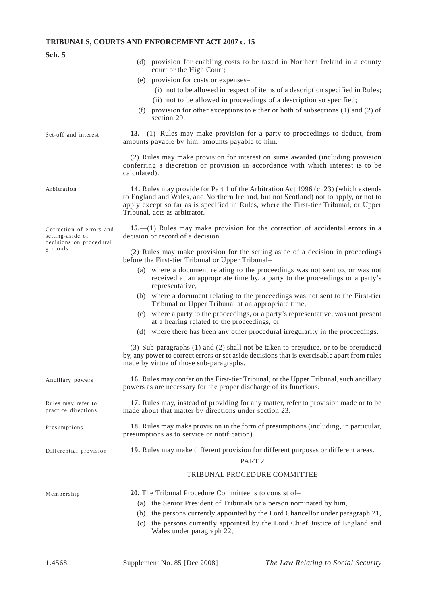| Sch. 5                                                                  |                                                                                                                                                                                                                                                                                                                                    |
|-------------------------------------------------------------------------|------------------------------------------------------------------------------------------------------------------------------------------------------------------------------------------------------------------------------------------------------------------------------------------------------------------------------------|
|                                                                         | (d) provision for enabling costs to be taxed in Northern Ireland in a county<br>court or the High Court;                                                                                                                                                                                                                           |
|                                                                         | (e) provision for costs or expenses-                                                                                                                                                                                                                                                                                               |
|                                                                         | (i) not to be allowed in respect of items of a description specified in Rules;                                                                                                                                                                                                                                                     |
|                                                                         | (ii) not to be allowed in proceedings of a description so specified;                                                                                                                                                                                                                                                               |
|                                                                         | provision for other exceptions to either or both of subsections (1) and (2) of<br>(f)<br>section 29.                                                                                                                                                                                                                               |
| Set-off and interest                                                    | 13.—(1) Rules may make provision for a party to proceedings to deduct, from<br>amounts payable by him, amounts payable to him.                                                                                                                                                                                                     |
|                                                                         | (2) Rules may make provision for interest on sums awarded (including provision<br>conferring a discretion or provision in accordance with which interest is to be<br>calculated).                                                                                                                                                  |
| Arbitration                                                             | 14. Rules may provide for Part 1 of the Arbitration Act 1996 (c. 23) (which extends<br>to England and Wales, and Northern Ireland, but not Scotland) not to apply, or not to<br>apply except so far as is specified in Rules, where the First-tier Tribunal, or Upper<br>Tribunal, acts as arbitrator.                             |
| Correction of errors and<br>setting-aside of<br>decisions on procedural | 15.—(1) Rules may make provision for the correction of accidental errors in a<br>decision or record of a decision.                                                                                                                                                                                                                 |
| grounds                                                                 | (2) Rules may make provision for the setting aside of a decision in proceedings<br>before the First-tier Tribunal or Upper Tribunal-                                                                                                                                                                                               |
|                                                                         | (a) where a document relating to the proceedings was not sent to, or was not<br>received at an appropriate time by, a party to the proceedings or a party's<br>representative,                                                                                                                                                     |
|                                                                         | (b) where a document relating to the proceedings was not sent to the First-tier<br>Tribunal or Upper Tribunal at an appropriate time,                                                                                                                                                                                              |
|                                                                         | (c) where a party to the proceedings, or a party's representative, was not present<br>at a hearing related to the proceedings, or                                                                                                                                                                                                  |
|                                                                         | (d) where there has been any other procedural irregularity in the proceedings.                                                                                                                                                                                                                                                     |
|                                                                         | (3) Sub-paragraphs (1) and (2) shall not be taken to prejudice, or to be prejudiced<br>by, any power to correct errors or set aside decisions that is exercisable apart from rules<br>made by virtue of those sub-paragraphs.                                                                                                      |
| Ancillary powers                                                        | 16. Rules may confer on the First-tier Tribunal, or the Upper Tribunal, such ancillary<br>powers as are necessary for the proper discharge of its functions.                                                                                                                                                                       |
| Rules may refer to<br>practice directions                               | 17. Rules may, instead of providing for any matter, refer to provision made or to be<br>made about that matter by directions under section 23.                                                                                                                                                                                     |
| Presumptions                                                            | 18. Rules may make provision in the form of presumptions (including, in particular,<br>presumptions as to service or notification).                                                                                                                                                                                                |
| Differential provision                                                  | 19. Rules may make different provision for different purposes or different areas.<br>PART <sub>2</sub>                                                                                                                                                                                                                             |
|                                                                         | TRIBUNAL PROCEDURE COMMITTEE                                                                                                                                                                                                                                                                                                       |
| Membership                                                              | 20. The Tribunal Procedure Committee is to consist of-<br>(a) the Senior President of Tribunals or a person nominated by him,<br>the persons currently appointed by the Lord Chancellor under paragraph 21,<br>(b)<br>the persons currently appointed by the Lord Chief Justice of England and<br>(c)<br>Wales under paragraph 22, |
|                                                                         |                                                                                                                                                                                                                                                                                                                                    |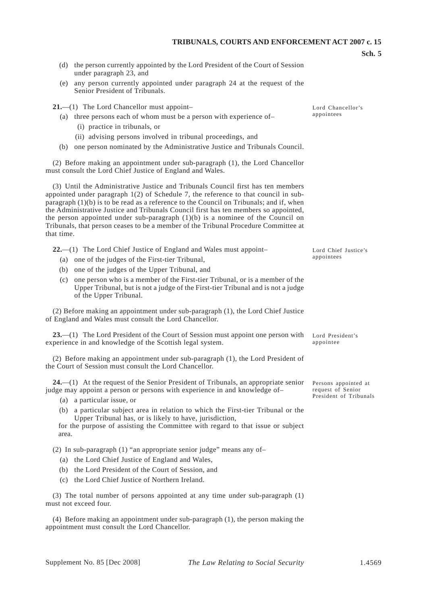- **Sch. 5**
- (d) the person currently appointed by the Lord President of the Court of Session under paragraph 23, and
- (e) any person currently appointed under paragraph 24 at the request of the Senior President of Tribunals.

**21.**—(1) The Lord Chancellor must appoint–

- (a) three persons each of whom must be a person with experience of–
	- (i) practice in tribunals, or
	- (ii) advising persons involved in tribunal proceedings, and
- (b) one person nominated by the Administrative Justice and Tribunals Council.

(2) Before making an appointment under sub-paragraph (1), the Lord Chancellor must consult the Lord Chief Justice of England and Wales.

(3) Until the Administrative Justice and Tribunals Council first has ten members appointed under paragraph 1(2) of Schedule 7, the reference to that council in subparagraph  $(1)(b)$  is to be read as a reference to the Council on Tribunals; and if, when the Administrative Justice and Tribunals Council first has ten members so appointed, the person appointed under sub-paragraph  $(1)(b)$  is a nominee of the Council on Tribunals, that person ceases to be a member of the Tribunal Procedure Committee at that time.

**22.**—(1) The Lord Chief Justice of England and Wales must appoint–

- (a) one of the judges of the First-tier Tribunal,
- (b) one of the judges of the Upper Tribunal, and
- (c) one person who is a member of the First-tier Tribunal, or is a member of the Upper Tribunal, but is not a judge of the First-tier Tribunal and is not a judge of the Upper Tribunal.

(2) Before making an appointment under sub-paragraph (1), the Lord Chief Justice of England and Wales must consult the Lord Chancellor.

**23.**—(1) The Lord President of the Court of Session must appoint one person with experience in and knowledge of the Scottish legal system.

(2) Before making an appointment under sub-paragraph (1), the Lord President of the Court of Session must consult the Lord Chancellor.

**24.**—(1) At the request of the Senior President of Tribunals, an appropriate senior judge may appoint a person or persons with experience in and knowledge of–

- (a) a particular issue, or
- (b) a particular subject area in relation to which the First-tier Tribunal or the Upper Tribunal has, or is likely to have, jurisdiction,

for the purpose of assisting the Committee with regard to that issue or subject area.

(2) In sub-paragraph (1) "an appropriate senior judge" means any of–

- (a) the Lord Chief Justice of England and Wales,
- (b) the Lord President of the Court of Session, and
- (c) the Lord Chief Justice of Northern Ireland.

(3) The total number of persons appointed at any time under sub-paragraph (1) must not exceed four.

(4) Before making an appointment under sub-paragraph (1), the person making the appointment must consult the Lord Chancellor.

Lord Chancellor's appointees

Lord Chief Justice's appointees

Lord President's appointee

Persons appointed at request of Senior President of Tribunals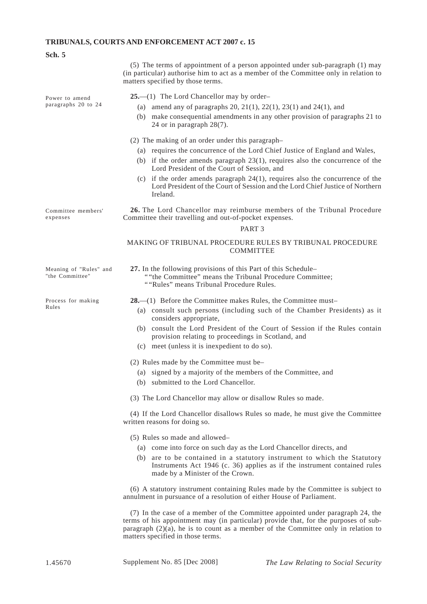| <b>Sch.</b> 5                             |                                                                                                                                                                                                                                                                                                                                                                                                                                                                                                                                                                                     |  |  |  |
|-------------------------------------------|-------------------------------------------------------------------------------------------------------------------------------------------------------------------------------------------------------------------------------------------------------------------------------------------------------------------------------------------------------------------------------------------------------------------------------------------------------------------------------------------------------------------------------------------------------------------------------------|--|--|--|
|                                           | (5) The terms of appointment of a person appointed under sub-paragraph (1) may<br>(in particular) authorise him to act as a member of the Committee only in relation to<br>matters specified by those terms.                                                                                                                                                                                                                                                                                                                                                                        |  |  |  |
| Power to amend<br>paragraphs 20 to 24     | $25 - (1)$ The Lord Chancellor may by order-<br>(a) amend any of paragraphs 20, 21(1), 22(1), 23(1) and 24(1), and<br>(b) make consequential amendments in any other provision of paragraphs 21 to<br>24 or in paragraph $28(7)$ .                                                                                                                                                                                                                                                                                                                                                  |  |  |  |
|                                           | (2) The making of an order under this paragraph-<br>(a) requires the concurrence of the Lord Chief Justice of England and Wales,<br>(b) if the order amends paragraph $23(1)$ , requires also the concurrence of the<br>Lord President of the Court of Session, and<br>(c) if the order amends paragraph $24(1)$ , requires also the concurrence of the<br>Lord President of the Court of Session and the Lord Chief Justice of Northern<br>Ireland.                                                                                                                                |  |  |  |
| Committee members'<br>expenses            | 26. The Lord Chancellor may reimburse members of the Tribunal Procedure<br>Committee their travelling and out-of-pocket expenses.<br>PART <sub>3</sub>                                                                                                                                                                                                                                                                                                                                                                                                                              |  |  |  |
|                                           | MAKING OF TRIBUNAL PROCEDURE RULES BY TRIBUNAL PROCEDURE<br><b>COMMITTEE</b>                                                                                                                                                                                                                                                                                                                                                                                                                                                                                                        |  |  |  |
| Meaning of "Rules" and<br>"the Committee" | 27. In the following provisions of this Part of this Schedule-<br>""the Committee" means the Tribunal Procedure Committee;<br>""Rules" means Tribunal Procedure Rules.                                                                                                                                                                                                                                                                                                                                                                                                              |  |  |  |
| Process for making<br>Rules               | $28$ .—(1) Before the Committee makes Rules, the Committee must-<br>(a) consult such persons (including such of the Chamber Presidents) as it<br>considers appropriate,<br>(b) consult the Lord President of the Court of Session if the Rules contain<br>provision relating to proceedings in Scotland, and<br>(c) meet (unless it is inexpedient to do so).<br>(2) Rules made by the Committee must be-<br>(a) signed by a majority of the members of the Committee, and<br>(b) submitted to the Lord Chancellor.<br>(3) The Lord Chancellor may allow or disallow Rules so made. |  |  |  |
|                                           | (4) If the Lord Chancellor disallows Rules so made, he must give the Committee<br>written reasons for doing so.                                                                                                                                                                                                                                                                                                                                                                                                                                                                     |  |  |  |
|                                           | (5) Rules so made and allowed-<br>(a) come into force on such day as the Lord Chancellor directs, and<br>(b) are to be contained in a statutory instrument to which the Statutory<br>Instruments Act 1946 (c. 36) applies as if the instrument contained rules<br>made by a Minister of the Crown.                                                                                                                                                                                                                                                                                  |  |  |  |
|                                           | (6) A statutory instrument containing Rules made by the Committee is subject to<br>annulment in pursuance of a resolution of either House of Parliament.                                                                                                                                                                                                                                                                                                                                                                                                                            |  |  |  |
|                                           | (7) In the case of a member of the Committee appointed under paragraph 24, the<br>terms of his appointment may (in particular) provide that, for the purposes of sub-<br>paragraph $(2)(a)$ , he is to count as a member of the Committee only in relation to<br>matters specified in those terms.                                                                                                                                                                                                                                                                                  |  |  |  |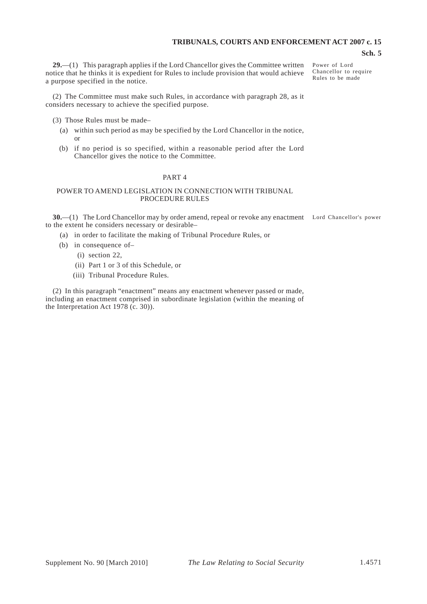#### **Sch. 5**

**29.**—(1) This paragraph applies if the Lord Chancellor gives the Committee written notice that he thinks it is expedient for Rules to include provision that would achieve a purpose specified in the notice.

Power of Lord Chancellor to require Rules to be made

(2) The Committee must make such Rules, in accordance with paragraph 28, as it considers necessary to achieve the specified purpose.

(3) Those Rules must be made–

- (a) within such period as may be specified by the Lord Chancellor in the notice, or
- (b) if no period is so specified, within a reasonable period after the Lord Chancellor gives the notice to the Committee.

#### PART 4

#### POWER TO AMEND LEGISLATION IN CONNECTION WITH TRIBUNAL PROCEDURE RULES

**30.**—(1) The Lord Chancellor may by order amend, repeal or revoke any enactment Lord Chancellor's power to the extent he considers necessary or desirable–

(a) in order to facilitate the making of Tribunal Procedure Rules, or

- (b) in consequence of-
	- (i) section 22,
	- (ii) Part 1 or 3 of this Schedule, or
	- (iii) Tribunal Procedure Rules.

(2) In this paragraph "enactment" means any enactment whenever passed or made, including an enactment comprised in subordinate legislation (within the meaning of the Interpretation Act 1978 (c. 30)).